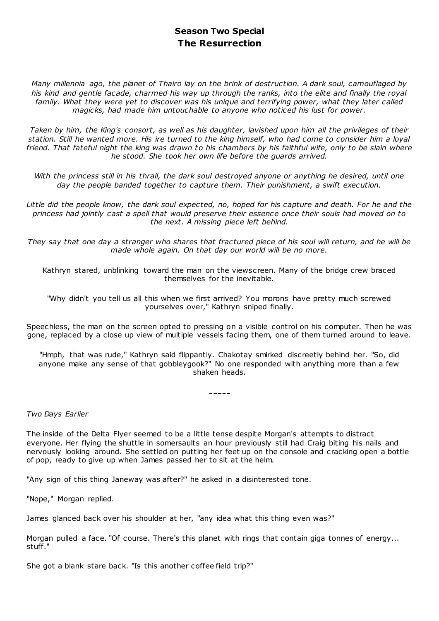## **Season Two Special The Resurrection**

*Many millennia ago, the planet of Thairo lay on the brink of destruction. A dark soul, camouflaged by his kind and gentle facade, charmed his way up through the ranks, into the elite and finally the royal family. What they were yet to discover was his unique and terrifying power, what they later called magicks, had made him untouchable to anyone who noticed his lust for power.*

*Taken by him, the King's consort, as well as his daughter, lavished upon him all the privileges of their station. Still he wanted more. His ire turned to the king himself, who had come to consider him a loyal friend. That fateful night the king was drawn to his chambers by his faithful wife, only to be slain where he stood. She took her own life before the guards arrived.*

With the princess still in his thrall, the dark soul destroyed anyone or anything he desired, until one *day the people banded together to capture them. Their punishment, a swift execution.*

Little did the people know, the dark soul expected, no, hoped for his capture and death. For he and the *princess had jointly cast a spell that would preserve their essence once their souls had moved on to the next. A missing piece left behind.*

*They say that one day a stranger who shares that fractured piece of his soul will return, and he will be made whole again. On that day our world will be no more.*

Kathryn stared, unblinking toward the man on the viewscreen. Many of the bridge crew braced themselves for the inevitable.

"Why didn't you tell us all this when we first arrived? You morons have pretty much screwed yourselves over," Kathryn sniped finally.

Speechless, the man on the screen opted to pressing on a visible control on his computer. Then he was gone, replaced by a close up view of multiple vessels facing them, one of them turned around to leave.

"Hmph, that was rude," Kathryn said flippantly. Chakotay smirked discreetly behind her. "So, did anyone make any sense of that gobbleygook?" No one responded with anything more than a few shaken heads.

-----

*Two Days Earlier*

The inside of the Delta Flyer seemed to be a little tense despite Morgan's attempts to distract everyone. Her flying the shuttle in somersaults an hour previously still had Craig biting his nails and nervously looking around. She settled on putting her feet up on the console and cracking open a bottle of pop, ready to give up when James passed her to sit at the helm.

"Any sign of this thing Janeway was after?" he asked in a disinterested tone.

"Nope," Morgan replied.

James glanced back over his shoulder at her, "any idea what this thing even was?"

Morgan pulled a face. "Of course. There's this planet with rings that contain giga tonnes of energy... stuff."

She got a blank stare back. "Is this another coffee field trip?"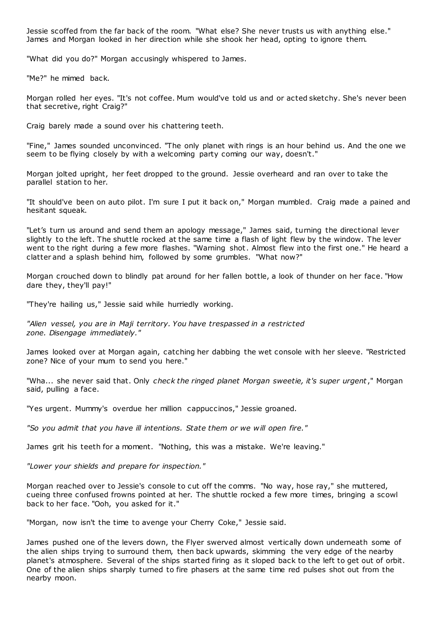Jessie scoffed from the far back of the room. "What else? She never trusts us with anything else." James and Morgan looked in her direction while she shook her head, opting to ignore them.

"What did you do?" Morgan accusingly whispered to James.

"Me?" he mimed back.

Morgan rolled her eyes. "It's not coffee. Mum would've told us and or acted sketchy. She's never been that secretive, right Craig?"

Craig barely made a sound over his chattering teeth.

"Fine," James sounded unconvinced. "The only planet with rings is an hour behind us. And the one we seem to be flying closely by with a welcoming party coming our way, doesn't."

Morgan jolted upright, her feet dropped to the ground. Jessie overheard and ran over to take the parallel station to her.

"It should've been on auto pilot. I'm sure I put it back on," Morgan mumbled. Craig made a pained and hesitant squeak.

"Let's turn us around and send them an apology message," James said, turning the directional lever slightly to the left. The shuttle rocked at the same time a flash of light flew by the window. The lever went to the right during a few more flashes. "Warning shot. Almost flew into the first one." He heard a clatter and a splash behind him, followed by some grumbles. "What now?"

Morgan crouched down to blindly pat around for her fallen bottle, a look of thunder on her face. "How dare they, they'll pay!"

"They're hailing us," Jessie said while hurriedly working.

*"Alien vessel, you are in Maji territory. You have trespassed in a restricted zone. Disengage immediately."*

James looked over at Morgan again, catching her dabbing the wet console with her sleeve. "Restricted zone? Nice of your mum to send you here."

"Wha... she never said that. Only *check the ringed planet Morgan sweetie, it's super urgent*," Morgan said, pulling a face.

"Yes urgent. Mummy's overdue her million cappuccinos," Jessie groaned.

*"So you admit that you have ill intentions. State them or we will open fire."*

James grit his teeth for a moment. "Nothing, this was a mistake. We're leaving."

*"Lower your shields and prepare for inspection."*

Morgan reached over to Jessie's console to cut off the comms. "No way, hose ray," she muttered, cueing three confused frowns pointed at her. The shuttle rocked a few more times, bringing a scowl back to her face. "Ooh, you asked for it."

"Morgan, now isn't the time to avenge your Cherry Coke," Jessie said.

James pushed one of the levers down, the Flyer swerved almost vertically down underneath some of the alien ships trying to surround them, then back upwards, skimming the very edge of the nearby planet's atmosphere. Several of the ships started firing as it sloped back to the left to get out of orbit. One of the alien ships sharply turned to fire phasers at the same time red pulses shot out from the nearby moon.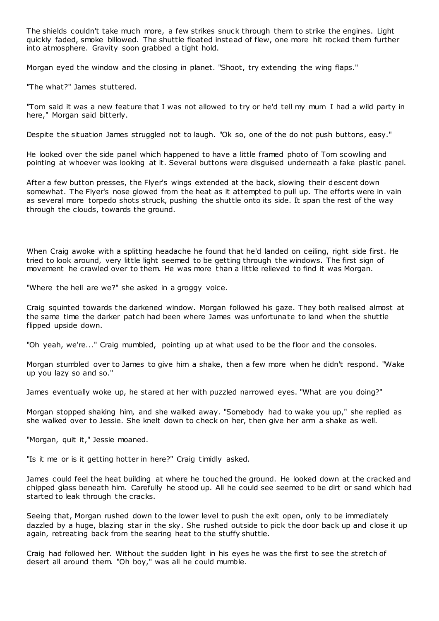The shields couldn't take much more, a few strikes snuck through them to strike the engines. Light quickly faded, smoke billowed. The shuttle floated instead of flew, one more hit rocked them further into atmosphere. Gravity soon grabbed a tight hold.

Morgan eyed the window and the closing in planet. "Shoot, try extending the wing flaps."

"The what?" James stuttered.

"Tom said it was a new feature that I was not allowed to try or he'd tell my mum I had a wild party in here," Morgan said bitterly.

Despite the situation James struggled not to laugh. "Ok so, one of the do not push buttons, easy."

He looked over the side panel which happened to have a little framed photo of Tom scowling and pointing at whoever was looking at it. Several buttons were disguised underneath a fake plastic panel.

After a few button presses, the Flyer's wings extended at the back, slowing their descent down somewhat. The Flyer's nose glowed from the heat as it attempted to pull up. The efforts were in vain as several more torpedo shots struck, pushing the shuttle onto its side. It span the rest of the way through the clouds, towards the ground.

When Craig awoke with a splitting headache he found that he'd landed on ceiling, right side first. He tried to look around, very little light seemed to be getting through the windows. The first sign of movement he crawled over to them. He was more than a little relieved to find it was Morgan.

"Where the hell are we?" she asked in a groggy voice.

Craig squinted towards the darkened window. Morgan followed his gaze. They both realised almost at the same time the darker patch had been where James was unfortunate to land when the shuttle flipped upside down.

"Oh yeah, we're..." Craig mumbled, pointing up at what used to be the floor and the consoles.

Morgan stumbled over to James to give him a shake, then a few more when he didn't respond. "Wake up you lazy so and so."

James eventually woke up, he stared at her with puzzled narrowed eyes. "What are you doing?"

Morgan stopped shaking him, and she walked away. "Somebody had to wake you up," she replied as she walked over to Jessie. She knelt down to check on her, then give her arm a shake as well.

"Morgan, quit it," Jessie moaned.

"Is it me or is it getting hotter in here?" Craig timidly asked.

James could feel the heat building at where he touched the ground. He looked down at the cracked and chipped glass beneath him. Carefully he stood up. All he could see seemed to be dirt or sand which had started to leak through the cracks.

Seeing that, Morgan rushed down to the lower level to push the exit open, only to be immediately dazzled by a huge, blazing star in the sky. She rushed outside to pick the door back up and close it up again, retreating back from the searing heat to the stuffy shuttle.

Craig had followed her. Without the sudden light in his eyes he was the first to see the stretch of desert all around them. "Oh boy," was all he could mumble.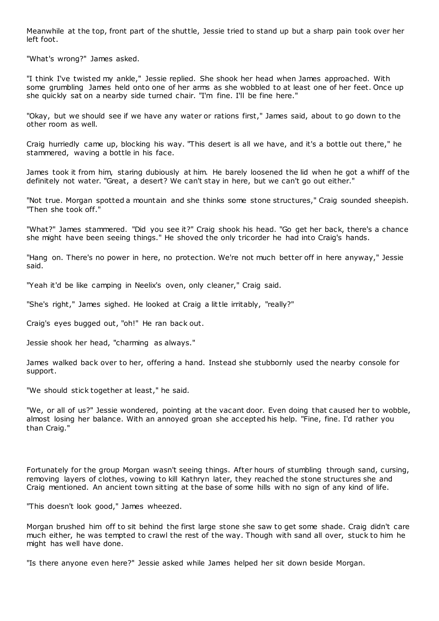Meanwhile at the top, front part of the shuttle, Jessie tried to stand up but a sharp pain took over her left foot.

"What's wrong?" James asked.

"I think I've twisted my ankle," Jessie replied. She shook her head when James approached. With some grumbling James held onto one of her arms as she wobbled to at least one of her feet. Once up she quickly sat on a nearby side turned chair. "I'm fine. I'll be fine here."

"Okay, but we should see if we have any water or rations first," James said, about to go down to the other room as well.

Craig hurriedly came up, blocking his way. "This desert is all we have, and it's a bottle out there," he stammered, waving a bottle in his face.

James took it from him, staring dubiously at him. He barely loosened the lid when he got a whiff of the definitely not water. "Great, a desert? We can't stay in here, but we can't go out either."

"Not true. Morgan spotted a mountain and she thinks some stone structures," Craig sounded sheepish. "Then she took off."

"What?" James stammered. "Did you see it?" Craig shook his head. "Go get her back, there's a chance she might have been seeing things." He shoved the only tricorder he had into Craig's hands.

"Hang on. There's no power in here, no protection. We're not much better off in here anyway," Jessie said.

"Yeah it'd be like camping in Neelix's oven, only cleaner," Craig said.

"She's right," James sighed. He looked at Craig a little irritably, "really?"

Craig's eyes bugged out, "oh!" He ran back out.

Jessie shook her head, "charming as always."

James walked back over to her, offering a hand. Instead she stubbornly used the nearby console for support.

"We should stick together at least," he said.

"We, or all of us?" Jessie wondered, pointing at the vacant door. Even doing that caused her to wobble, almost losing her balance. With an annoyed groan she accepted his help. "Fine, fine. I'd rather you than Craig."

Fortunately for the group Morgan wasn't seeing things. After hours of stumbling through sand, cursing, removing layers of clothes, vowing to kill Kathryn later, they reached the stone structures she and Craig mentioned. An ancient town sitting at the base of some hills with no sign of any kind of life.

"This doesn't look good," James wheezed.

Morgan brushed him off to sit behind the first large stone she saw to get some shade. Craig didn't care much either, he was tempted to crawl the rest of the way. Though with sand all over, stuck to him he might has well have done.

"Is there anyone even here?" Jessie asked while James helped her sit down beside Morgan.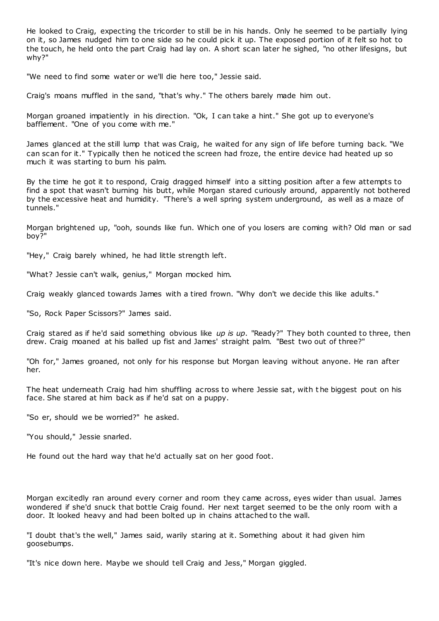He looked to Craig, expecting the tricorder to still be in his hands. Only he seemed to be partially lying on it, so James nudged him to one side so he could pick it up. The exposed portion of it felt so hot to the touch, he held onto the part Craig had lay on. A short scan later he sighed, "no other lifesigns, but why?"

"We need to find some water or we'll die here too," Jessie said.

Craig's moans muffled in the sand, "that's why." The others barely made him out.

Morgan groaned impatiently in his direction. "Ok, I can take a hint." She got up to everyone's bafflement. "One of you come with me."

James glanced at the still lump that was Craig, he waited for any sign of life before turning back. "We can scan for it." Typically then he noticed the screen had froze, the entire device had heated up so much it was starting to burn his palm.

By the time he got it to respond, Craig dragged himself into a sitting position after a few attempts to find a spot that wasn't burning his butt, while Morgan stared curiously around, apparently not bothered by the excessive heat and humidity. "There's a well spring system underground, as well as a maze of tunnels."

Morgan brightened up, "ooh, sounds like fun. Which one of you losers are coming with? Old man or sad boy?"

"Hey," Craig barely whined, he had little strength left.

"What? Jessie can't walk, genius," Morgan mocked him.

Craig weakly glanced towards James with a tired frown. "Why don't we decide this like adults."

"So, Rock Paper Scissors?" James said.

Craig stared as if he'd said something obvious like *up is up*. "Ready?" They both counted to three, then drew. Craig moaned at his balled up fist and James' straight palm. "Best two out of three?"

"Oh for," James groaned, not only for his response but Morgan leaving without anyone. He ran after her.

The heat underneath Craig had him shuffling across to where Jessie sat, with t he biggest pout on his face. She stared at him back as if he'd sat on a puppy.

"So er, should we be worried?" he asked.

"You should," Jessie snarled.

He found out the hard way that he'd actually sat on her good foot.

Morgan excitedly ran around every corner and room they came across, eyes wider than usual. James wondered if she'd snuck that bottle Craig found. Her next target seemed to be the only room with a door. It looked heavy and had been bolted up in chains attached to the wall.

"I doubt that's the well," James said, warily staring at it. Something about it had given him goosebumps.

"It's nice down here. Maybe we should tell Craig and Jess," Morgan giggled.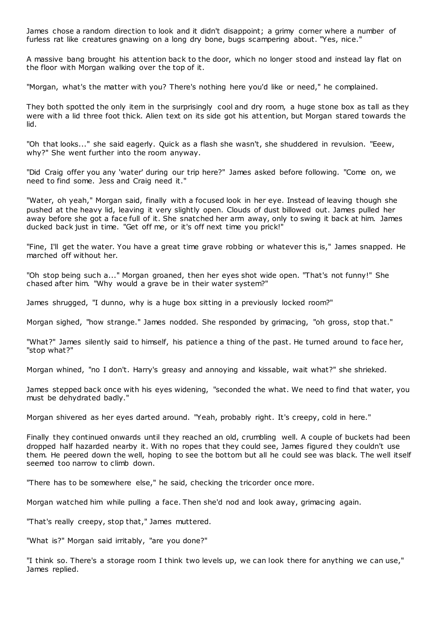James chose a random direction to look and it didn't disappoint; a grimy corner where a number of furless rat like creatures gnawing on a long dry bone, bugs scampering about. "Yes, nice."

A massive bang brought his attention back to the door, which no longer stood and instead lay flat on the floor with Morgan walking over the top of it.

"Morgan, what's the matter with you? There's nothing here you'd like or need," he complained.

They both spotted the only item in the surprisingly cool and dry room, a huge stone box as tall as they were with a lid three foot thick. Alien text on its side got his attention, but Morgan stared towards the lid.

"Oh that looks..." she said eagerly. Quick as a flash she wasn't, she shuddered in revulsion. "Eeew, why?" She went further into the room anyway.

"Did Craig offer you any 'water' during our trip here?" James asked before following. "Come on, we need to find some. Jess and Craig need it."

"Water, oh yeah," Morgan said, finally with a focused look in her eye. Instead of leaving though she pushed at the heavy lid, leaving it very slightly open. Clouds of dust billowed out. James pulled her away before she got a face full of it. She snatched her arm away, only to swing it back at him. James ducked back just in time. "Get off me, or it's off next time you prick!"

"Fine, I'll get the water. You have a great time grave robbing or whatever this is," James snapped. He marched off without her.

"Oh stop being such a..." Morgan groaned, then her eyes shot wide open. "That's not funny!" She chased after him. "Why would a grave be in their water system?"

James shrugged, "I dunno, why is a huge box sitting in a previously locked room?"

Morgan sighed, "how strange." James nodded. She responded by grimacing, "oh gross, stop that."

"What?" James silently said to himself, his patience a thing of the past. He turned around to face her, "stop what?"

Morgan whined, "no I don't. Harry's greasy and annoying and kissable, wait what?" she shrieked.

James stepped back once with his eyes widening, "seconded the what. We need to find that water, you must be dehydrated badly."

Morgan shivered as her eyes darted around. "Yeah, probably right. It's creepy, cold in here."

Finally they continued onwards until they reached an old, crumbling well. A couple of buckets had been dropped half hazarded nearby it. With no ropes that they could see, James figured they couldn't use them. He peered down the well, hoping to see the bottom but all he could see was black. The well itself seemed too narrow to climb down.

"There has to be somewhere else," he said, checking the tricorder once more.

Morgan watched him while pulling a face. Then she'd nod and look away, grimacing again.

"That's really creepy, stop that," James muttered.

"What is?" Morgan said irritably, "are you done?"

"I think so. There's a storage room I think two levels up, we can look there for anything we can use," James replied.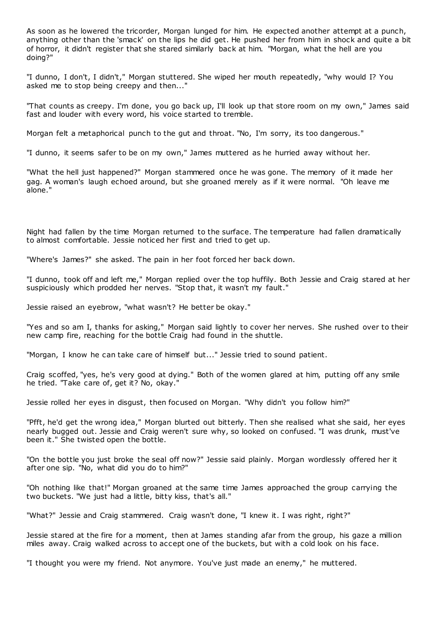As soon as he lowered the tricorder, Morgan lunged for him. He expected another attempt at a punch, anything other than the 'smack' on the lips he did get. He pushed her from him in shock and quite a bit of horror, it didn't register that she stared similarly back at him. "Morgan, what the hell are you doing?"

"I dunno, I don't, I didn't," Morgan stuttered. She wiped her mouth repeatedly, "why would I? You asked me to stop being creepy and then..."

"That counts as creepy. I'm done, you go back up, I'll look up that store room on my own," James said fast and louder with every word, his voice started to tremble.

Morgan felt a metaphorical punch to the gut and throat. "No, I'm sorry, its too dangerous."

"I dunno, it seems safer to be on my own," James muttered as he hurried away without her.

"What the hell just happened?" Morgan stammered once he was gone. The memory of it made her gag. A woman's laugh echoed around, but she groaned merely as if it were normal. "Oh leave me alone."

Night had fallen by the time Morgan returned to the surface. The temperature had fallen dramatically to almost comfortable. Jessie noticed her first and tried to get up.

"Where's James?" she asked. The pain in her foot forced her back down.

"I dunno, took off and left me," Morgan replied over the top huffily. Both Jessie and Craig stared at her suspiciously which prodded her nerves. "Stop that, it wasn't my fault."

Jessie raised an eyebrow, "what wasn't? He better be okay."

"Yes and so am I, thanks for asking," Morgan said lightly to cover her nerves. She rushed over to their new camp fire, reaching for the bottle Craig had found in the shuttle.

"Morgan, I know he can take care of himself but..." Jessie tried to sound patient.

Craig scoffed, "yes, he's very good at dying." Both of the women glared at him, putting off any smile he tried. "Take care of, get it? No, okay."

Jessie rolled her eyes in disgust, then focused on Morgan. "Why didn't you follow him?"

"Pfft, he'd get the wrong idea," Morgan blurted out bitterly. Then she realised what she said, her eyes nearly bugged out. Jessie and Craig weren't sure why, so looked on confused. "I was drunk, must've been it." She twisted open the bottle.

"On the bottle you just broke the seal off now?" Jessie said plainly. Morgan wordlessly offered her it after one sip. "No, what did you do to him?"

"Oh nothing like that!" Morgan groaned at the same time James approached the group carrying the two buckets. "We just had a little, bitty kiss, that's all."

"What?" Jessie and Craig stammered. Craig wasn't done, "I knew it. I was right, right?"

Jessie stared at the fire for a moment, then at James standing afar from the group, his gaze a million miles away. Craig walked across to accept one of the buckets, but with a cold look on his face.

"I thought you were my friend. Not anymore. You've just made an enemy," he muttered.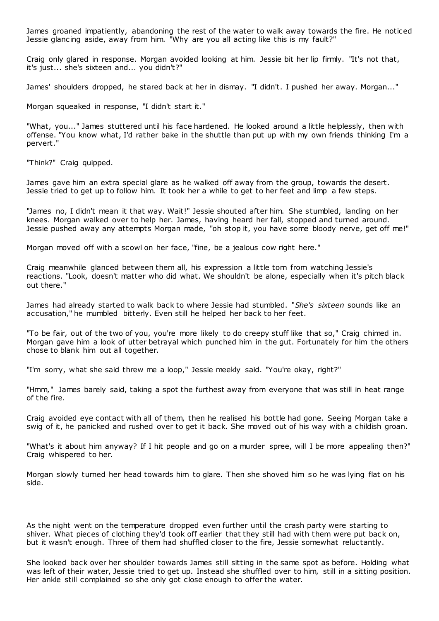James groaned impatiently, abandoning the rest of the water to walk away towards the fire. He noticed Jessie glancing aside, away from him. "Why are you all acting like this is my fault?"

Craig only glared in response. Morgan avoided looking at him. Jessie bit her lip firmly. "It's not that, it's just... she's sixteen and... you didn't?"

James' shoulders dropped, he stared back at her in dismay. "I didn't. I pushed her away. Morgan..."

Morgan squeaked in response, "I didn't start it."

"What, you..." James stuttered until his face hardened. He looked around a little helplessly, then with offense. "You know what, I'd rather bake in the shuttle than put up with my own friends thinking I'm a pervert."

"Think?" Craig quipped.

James gave him an extra special glare as he walked off away from the group, towards the desert. Jessie tried to get up to follow him. It took her a while to get to her feet and limp a few steps.

"James no, I didn't mean it that way. Wait!" Jessie shouted after him. She stumbled, landing on her knees. Morgan walked over to help her. James, having heard her fall, stopped and turned around. Jessie pushed away any attempts Morgan made, "oh stop it, you have some bloody nerve, get off me!"

Morgan moved off with a scowl on her face, "fine, be a jealous cow right here."

Craig meanwhile glanced between them all, his expression a little torn from watching Jessie's reactions. "Look, doesn't matter who did what. We shouldn't be alone, especially when it's pitch black out there."

James had already started to walk back to where Jessie had stumbled. "*She's sixteen* sounds like an accusation," he mumbled bitterly. Even still he helped her back to her feet.

"To be fair, out of the two of you, you're more likely to do creepy stuff like that so," Craig chimed in. Morgan gave him a look of utter betrayal which punched him in the gut. Fortunately for him the others chose to blank him out all together.

"I'm sorry, what she said threw me a loop," Jessie meekly said. "You're okay, right?"

"Hmm," James barely said, taking a spot the furthest away from everyone that was still in heat range of the fire.

Craig avoided eye contact with all of them, then he realised his bottle had gone. Seeing Morgan take a swig of it, he panicked and rushed over to get it back. She moved out of his way with a childish groan.

"What's it about him anyway? If I hit people and go on a murder spree, will I be more appealing then?" Craig whispered to her.

Morgan slowly turned her head towards him to glare. Then she shoved him so he was lying flat on his side.

As the night went on the temperature dropped even further until the crash party were starting to shiver. What pieces of clothing they'd took off earlier that they still had with them were put back on, but it wasn't enough. Three of them had shuffled closer to the fire, Jessie somewhat reluctantly.

She looked back over her shoulder towards James still sitting in the same spot as before. Holding what was left of their water, Jessie tried to get up. Instead she shuffled over to him, still in a sitting position. Her ankle still complained so she only got close enough to offer the water.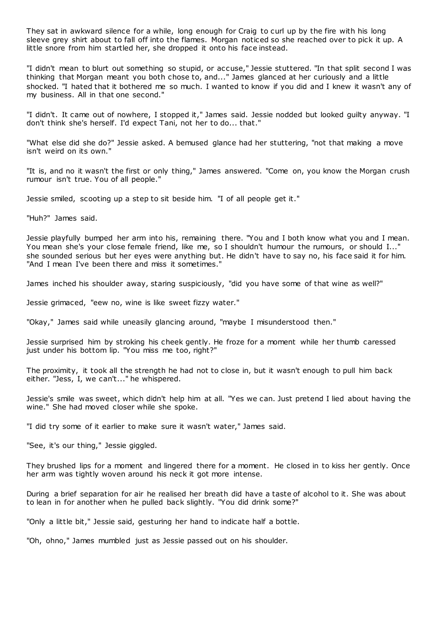They sat in awkward silence for a while, long enough for Craig to curl up by the fire with his long sleeve grey shirt about to fall off into the flames. Morgan noticed so she reached over to pick it up. A little snore from him startled her, she dropped it onto his face instead.

"I didn't mean to blurt out something so stupid, or accuse," Jessie stuttered. "In that split second I was thinking that Morgan meant you both chose to, and..." James glanced at her curiously and a little shocked. "I hated that it bothered me so much. I wanted to know if you did and I knew it wasn't any of my business. All in that one second."

"I didn't. It came out of nowhere, I stopped it," James said. Jessie nodded but looked guilty anyway. "I don't think she's herself. I'd expect Tani, not her to do... that."

"What else did she do?" Jessie asked. A bemused glance had her stuttering, "not that making a move isn't weird on its own."

"It is, and no it wasn't the first or only thing," James answered. "Come on, you know the Morgan crush rumour isn't true. You of all people."

Jessie smiled, scooting up a step to sit beside him. "I of all people get it."

"Huh?" James said.

Jessie playfully bumped her arm into his, remaining there. "You and I both know what you and I mean. You mean she's your close female friend, like me, so I shouldn't humour the rumours, or should I..." she sounded serious but her eyes were anything but. He didn't have to say no, his face said it for him. "And I mean I've been there and miss it sometimes."

James inched his shoulder away, staring suspiciously, "did you have some of that wine as well?"

Jessie grimaced, "eew no, wine is like sweet fizzy water."

"Okay," James said while uneasily glancing around, "maybe I misunderstood then."

Jessie surprised him by stroking his cheek gently. He froze for a moment while her thumb caressed just under his bottom lip. "You miss me too, right?"

The proximity, it took all the strength he had not to close in, but it wasn't enough to pull him back either. "Jess, I, we can't..." he whispered.

Jessie's smile was sweet, which didn't help him at all. "Yes we can. Just pretend I lied about having the wine." She had moved closer while she spoke.

"I did try some of it earlier to make sure it wasn't water," James said.

"See, it's our thing," Jessie giggled.

They brushed lips for a moment and lingered there for a moment. He closed in to kiss her gently. Once her arm was tightly woven around his neck it got more intense.

During a brief separation for air he realised her breath did have a taste of alcohol to it. She was about to lean in for another when he pulled back slightly. "You did drink some?"

"Only a little bit," Jessie said, gesturing her hand to indicate half a bottle.

"Oh, ohno," James mumbled just as Jessie passed out on his shoulder.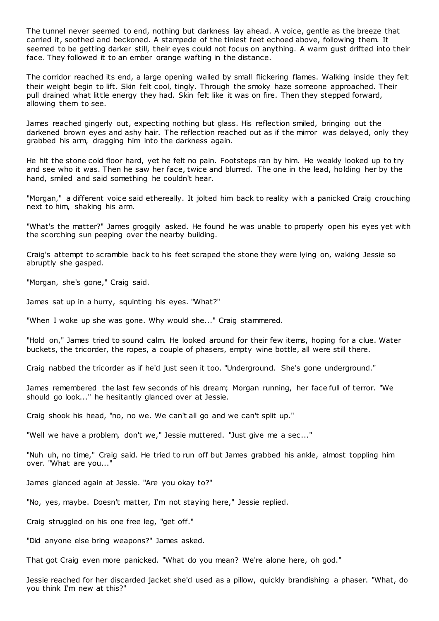The tunnel never seemed to end, nothing but darkness lay ahead. A voice, gentle as the breeze that carried it, soothed and beckoned. A stampede of the tiniest feet echoed above, following them. It seemed to be getting darker still, their eyes could not focus on anything. A warm gust drifted into their face. They followed it to an ember orange wafting in the distance.

The corridor reached its end, a large opening walled by small flickering flames. Walking inside they felt their weight begin to lift. Skin felt cool, tingly. Through the smoky haze someone approached. Their pull drained what little energy they had. Skin felt like it was on fire. Then they stepped forward, allowing them to see.

James reached gingerly out, expecting nothing but glass. His reflection smiled, bringing out the darkened brown eyes and ashy hair. The reflection reached out as if the mirror was delayed, only they grabbed his arm, dragging him into the darkness again.

He hit the stone cold floor hard, yet he felt no pain. Footsteps ran by him. He weakly looked up to try and see who it was. Then he saw her face, twice and blurred. The one in the lead, holding her by the hand, smiled and said something he couldn't hear.

"Morgan," a different voice said ethereally. It jolted him back to reality with a panicked Craig crouching next to him, shaking his arm.

"What's the matter?" James groggily asked. He found he was unable to properly open his eyes yet with the scorching sun peeping over the nearby building.

Craig's attempt to scramble back to his feet scraped the stone they were lying on, waking Jessie so abruptly she gasped.

"Morgan, she's gone," Craig said.

James sat up in a hurry, squinting his eyes. "What?"

"When I woke up she was gone. Why would she..." Craig stammered.

"Hold on," James tried to sound calm. He looked around for their few items, hoping for a clue. Water buckets, the tricorder, the ropes, a couple of phasers, empty wine bottle, all were still there.

Craig nabbed the tricorder as if he'd just seen it too. "Underground. She's gone underground."

James remembered the last few seconds of his dream; Morgan running, her face full of terror. "We should go look..." he hesitantly glanced over at Jessie.

Craig shook his head, "no, no we. We can't all go and we can't split up."

"Well we have a problem, don't we," Jessie muttered. "Just give me a sec..."

"Nuh uh, no time," Craig said. He tried to run off but James grabbed his ankle, almost toppling him over. "What are you..."

James glanced again at Jessie. "Are you okay to?"

"No, yes, maybe. Doesn't matter, I'm not staying here," Jessie replied.

Craig struggled on his one free leg, "get off."

"Did anyone else bring weapons?" James asked.

That got Craig even more panicked. "What do you mean? We're alone here, oh god."

Jessie reached for her discarded jacket she'd used as a pillow, quickly brandishing a phaser. "What, do you think I'm new at this?"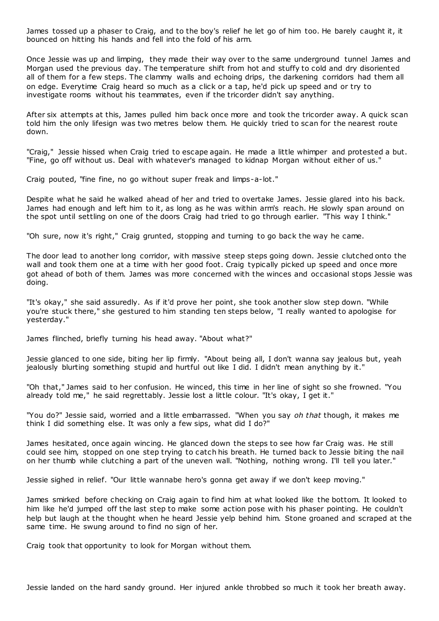James tossed up a phaser to Craig, and to the boy's relief he let go of him too. He barely caught it, it bounced on hitting his hands and fell into the fold of his arm.

Once Jessie was up and limping, they made their way over to the same underground tunnel James and Morgan used the previous day. The temperature shift from hot and stuffy to cold and dry disoriented all of them for a few steps. The clammy walls and echoing drips, the darkening corridors had them all on edge. Everytime Craig heard so much as a click or a tap, he'd pick up speed and or try to investigate rooms without his teammates, even if the tricorder didn't say anything.

After six attempts at this, James pulled him back once more and took the tricorder away. A quick scan told him the only lifesign was two metres below them. He quickly tried to scan for the nearest route down.

"Craig," Jessie hissed when Craig tried to escape again. He made a little whimper and protested a but. "Fine, go off without us. Deal with whatever's managed to kidnap Morgan without either of us."

Craig pouted, "fine fine, no go without super freak and limps-a-lot."

Despite what he said he walked ahead of her and tried to overtake James. Jessie glared into his back. James had enough and left him to it, as long as he was within arm's reach. He slowly span around on the spot until settling on one of the doors Craig had tried to go through earlier. "This way I think."

"Oh sure, now it's right," Craig grunted, stopping and turning to go back the way he came.

The door lead to another long corridor, with massive steep steps going down. Jessie clutched onto the wall and took them one at a time with her good foot. Craig typically picked up speed and once more got ahead of both of them. James was more concerned with the winces and occasional stops Jessie was doing.

"It's okay," she said assuredly. As if it'd prove her point, she took another slow step down. "While you're stuck there," she gestured to him standing ten steps below, "I really wanted to apologise for yesterday."

James flinched, briefly turning his head away. "About what?"

Jessie glanced to one side, biting her lip firmly. "About being all, I don't wanna say jealous but, yeah jealously blurting something stupid and hurtful out like I did. I didn't mean anything by it."

"Oh that," James said to her confusion. He winced, this time in her line of sight so she frowned. "You already told me," he said regrettably. Jessie lost a little colour. "It's okay, I get it."

"You do?" Jessie said, worried and a little embarrassed. "When you say *oh that* though, it makes me think I did something else. It was only a few sips, what did I do?"

James hesitated, once again wincing. He glanced down the steps to see how far Craig was. He still could see him, stopped on one step trying to catch his breath. He turned back to Jessie biting the nail on her thumb while clutching a part of the uneven wall. "Nothing, nothing wrong. I'll tell you later."

Jessie sighed in relief. "Our little wannabe hero's gonna get away if we don't keep moving."

James smirked before checking on Craig again to find him at what looked like the bottom. It looked to him like he'd jumped off the last step to make some action pose with his phaser pointing. He couldn't help but laugh at the thought when he heard Jessie yelp behind him. Stone groaned and scraped at the same time. He swung around to find no sign of her.

Craig took that opportunity to look for Morgan without them.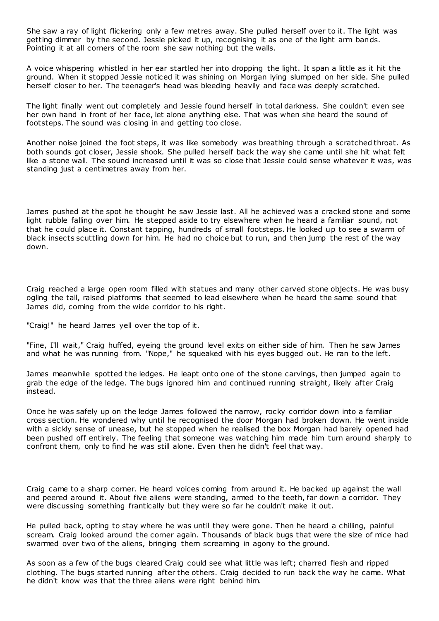She saw a ray of light flickering only a few metres away. She pulled herself over to it. The light was getting dimmer by the second. Jessie picked it up, recognising it as one of the light arm bands. Pointing it at all corners of the room she saw nothing but the walls.

A voice whispering whistled in her ear startled her into dropping the light. It span a little as it hit the ground. When it stopped Jessie noticed it was shining on Morgan lying slumped on her side. She pulled herself closer to her. The teenager's head was bleeding heavily and face was deeply scratched.

The light finally went out completely and Jessie found herself in total darkness. She couldn't even see her own hand in front of her face, let alone anything else. That was when she heard the sound of footsteps. The sound was closing in and getting too close.

Another noise joined the foot steps, it was like somebody was breathing through a scratched throat. As both sounds got closer, Jessie shook. She pulled herself back the way she came until she hit what felt like a stone wall. The sound increased until it was so close that Jessie could sense whatever it was, was standing just a centimetres away from her.

James pushed at the spot he thought he saw Jessie last. All he achieved was a cracked stone and some light rubble falling over him. He stepped aside to try elsewhere when he heard a familiar sound, not that he could place it. Constant tapping, hundreds of small footsteps. He looked up to see a swarm of black insects scuttling down for him. He had no choice but to run, and then jump the rest of the way down.

Craig reached a large open room filled with statues and many other carved stone objects. He was busy ogling the tall, raised platforms that seemed to lead elsewhere when he heard the same sound that James did, coming from the wide corridor to his right.

"Craig!" he heard James yell over the top of it.

"Fine, I'll wait," Craig huffed, eyeing the ground level exits on either side of him. Then he saw James and what he was running from. "Nope," he squeaked with his eyes bugged out. He ran to the left.

James meanwhile spotted the ledges. He leapt onto one of the stone carvings, then jumped again to grab the edge of the ledge. The bugs ignored him and continued running straight, likely after Craig instead.

Once he was safely up on the ledge James followed the narrow, rocky corridor down into a familiar cross section. He wondered why until he recognised the door Morgan had broken down. He went inside with a sickly sense of unease, but he stopped when he realised the box Morgan had barely opened had been pushed off entirely. The feeling that someone was watching him made him turn around sharply to confront them, only to find he was still alone. Even then he didn't feel that way.

Craig came to a sharp corner. He heard voices coming from around it. He backed up against the wall and peered around it. About five aliens were standing, armed to the teeth, far down a corridor. They were discussing something frantically but they were so far he couldn't make it out.

He pulled back, opting to stay where he was until they were gone. Then he heard a chilling, painful scream. Craig looked around the corner again. Thousands of black bugs that were the size of mice had swarmed over two of the aliens, bringing them screaming in agony to the ground.

As soon as a few of the bugs cleared Craig could see what little was left; charred flesh and ripped clothing. The bugs started running after the others. Craig decided to run back the way he came. What he didn't know was that the three aliens were right behind him.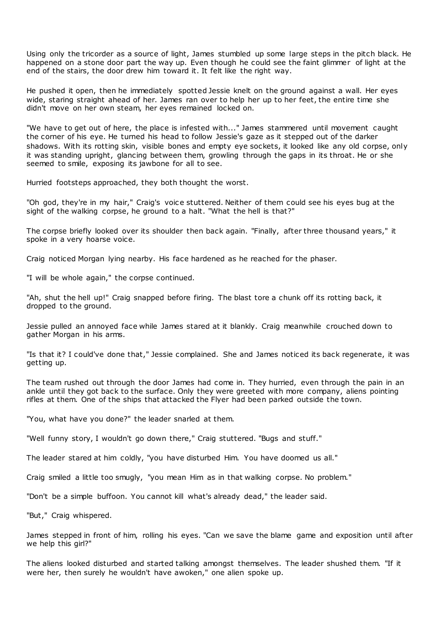Using only the tricorder as a source of light, James stumbled up some large steps in the pitch black. He happened on a stone door part the way up. Even though he could see the faint glimmer of light at the end of the stairs, the door drew him toward it. It felt like the right way.

He pushed it open, then he immediately spotted Jessie knelt on the ground against a wall. Her eyes wide, staring straight ahead of her. James ran over to help her up to her feet, the entire time she didn't move on her own steam, her eyes remained locked on.

"We have to get out of here, the place is infested with..." James stammered until movement caught the corner of his eye. He turned his head to follow Jessie's gaze as it stepped out of the darker shadows. With its rotting skin, visible bones and empty eye sockets, it looked like any old corpse, only it was standing upright, glancing between them, growling through the gaps in its throat. He or she seemed to smile, exposing its jawbone for all to see.

Hurried footsteps approached, they both thought the worst.

"Oh god, they're in my hair," Craig's voice stuttered. Neither of them could see his eyes bug at the sight of the walking corpse, he ground to a halt. "What the hell is that?"

The corpse briefly looked over its shoulder then back again. "Finally, after three thousand years," it spoke in a very hoarse voice.

Craig noticed Morgan lying nearby. His face hardened as he reached for the phaser.

"I will be whole again," the corpse continued.

"Ah, shut the hell up!" Craig snapped before firing. The blast tore a chunk off its rotting back, it dropped to the ground.

Jessie pulled an annoyed face while James stared at it blankly. Craig meanwhile crouched down to gather Morgan in his arms.

"Is that it? I could've done that," Jessie complained. She and James noticed its back regenerate, it was getting up.

The team rushed out through the door James had come in. They hurried, even through the pain in an ankle until they got back to the surface. Only they were greeted with more company, aliens pointing rifles at them. One of the ships that attacked the Flyer had been parked outside the town.

"You, what have you done?" the leader snarled at them.

"Well funny story, I wouldn't go down there," Craig stuttered. "Bugs and stuff."

The leader stared at him coldly, "you have disturbed Him. You have doomed us all."

Craig smiled a little too smugly, "you mean Him as in that walking corpse. No problem."

"Don't be a simple buffoon. You cannot kill what's already dead," the leader said.

"But," Craig whispered.

James stepped in front of him, rolling his eyes. "Can we save the blame game and exposition until after we help this girl?"

The aliens looked disturbed and started talking amongst themselves. The leader shushed them. "If it were her, then surely he wouldn't have awoken," one alien spoke up.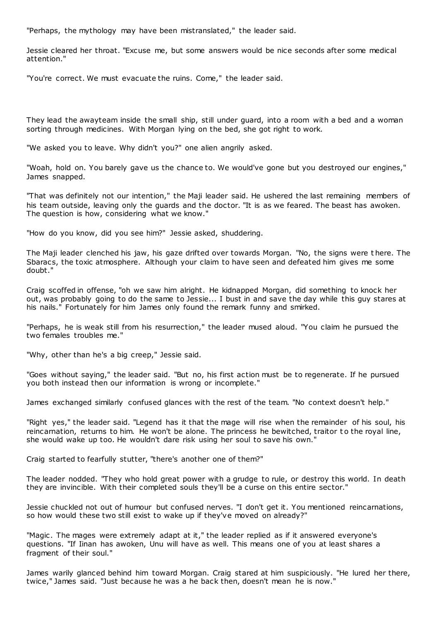"Perhaps, the mythology may have been mistranslated," the leader said.

Jessie cleared her throat. "Excuse me, but some answers would be nice seconds after some medical attention."

"You're correct. We must evacuate the ruins. Come," the leader said.

They lead the awayteam inside the small ship, still under guard, into a room with a bed and a woman sorting through medicines. With Morgan lying on the bed, she got right to work.

"We asked you to leave. Why didn't you?" one alien angrily asked.

"Woah, hold on. You barely gave us the chance to. We would've gone but you destroyed our engines," James snapped.

"That was definitely not our intention," the Maji leader said. He ushered the last remaining members of his team outside, leaving only the guards and the doctor. "It is as we feared. The beast has awoken. The question is how, considering what we know."

"How do you know, did you see him?" Jessie asked, shuddering.

The Maii leader clenched his jaw, his gaze drifted over towards Morgan. "No, the signs were there. The Sbaracs, the toxic atmosphere. Although your claim to have seen and defeated him gives me some doubt."

Craig scoffed in offense, "oh we saw him alright. He kidnapped Morgan, did something to knock her out, was probably going to do the same to Jessie... I bust in and save the day while this guy stares at his nails." Fortunately for him James only found the remark funny and smirked.

"Perhaps, he is weak still from his resurrection," the leader mused aloud. "You claim he pursued the two females troubles me."

"Why, other than he's a big creep," Jessie said.

"Goes without saying," the leader said. "But no, his first action must be to regenerate. If he pursued you both instead then our information is wrong or incomplete."

James exchanged similarly confused glances with the rest of the team. "No context doesn't help."

"Right yes," the leader said. "Legend has it that the mage will rise when the remainder of his soul, his reincarnation, returns to him. He won't be alone. The princess he bewitched, traitor to the royal line, she would wake up too. He wouldn't dare risk using her soul to save his own."

Craig started to fearfully stutter, "there's another one of them?"

The leader nodded. "They who hold great power with a grudge to rule, or destroy this world. In death they are invincible. With their completed souls they'll be a curse on this entire sector."

Jessie chuckled not out of humour but confused nerves. "I don't get it. You mentioned reincarnations, so how would these two still exist to wake up if they've moved on already?"

"Magic. The mages were extremely adapt at it," the leader replied as if it answered everyone's questions. "If Iinan has awoken, Unu will have as well. This means one of you at least shares a fragment of their soul."

James warily glanced behind him toward Morgan. Craig stared at him suspiciously. "He lured her there, twice," James said. "Just because he was a he back then, doesn't mean he is now."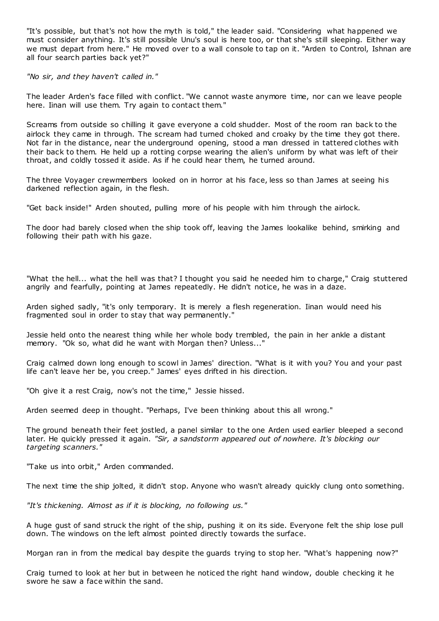"It's possible, but that's not how the myth is told," the leader said. "Considering what happened we must consider anything. It's still possible Unu's soul is here too, or that she's still sleeping. Either way we must depart from here." He moved over to a wall console to tap on it. "Arden to Control, Ishnan are all four search parties back yet?"

*"No sir, and they haven't called in."*

The leader Arden's face filled with conflict. "We cannot waste anymore time, nor can we leave people here. Iinan will use them. Try again to contact them."

Screams from outside so chilling it gave everyone a cold shudder. Most of the room ran back to the airlock they came in through. The scream had turned choked and croaky by the time they got there. Not far in the distance, near the underground opening, stood a man dressed in tattered clothes with their back to them. He held up a rotting corpse wearing the alien's uniform by what was left of their throat, and coldly tossed it aside. As if he could hear them, he turned around.

The three Voyager crewmembers looked on in horror at his face, less so than James at seeing his darkened reflection again, in the flesh.

"Get back inside!" Arden shouted, pulling more of his people with him through the airlock.

The door had barely closed when the ship took off, leaving the James lookalike behind, smirking and following their path with his gaze.

"What the hell... what the hell was that? I thought you said he needed him to charge," Craig stuttered angrily and fearfully, pointing at James repeatedly. He didn't notice, he was in a daze.

Arden sighed sadly, "it's only temporary. It is merely a flesh regeneration. Iinan would need his fragmented soul in order to stay that way permanently."

Jessie held onto the nearest thing while her whole body trembled, the pain in her ankle a distant memory. "Ok so, what did he want with Morgan then? Unless..."

Craig calmed down long enough to scowl in James' direction. "What is it with you? You and your past life can't leave her be, you creep." James' eyes drifted in his direction.

"Oh give it a rest Craig, now's not the time," Jessie hissed.

Arden seemed deep in thought. "Perhaps, I've been thinking about this all wrong."

The ground beneath their feet jostled, a panel similar to the one Arden used earlier bleeped a second later. He quickly pressed it again. *"Sir, a sandstorm appeared out of nowhere. It's blocking our targeting scanners."*

"Take us into orbit," Arden commanded.

The next time the ship jolted, it didn't stop. Anyone who wasn't already quickly clung onto something.

*"It's thickening. Almost as if it is blocking, no following us."*

A huge gust of sand struck the right of the ship, pushing it on its side. Everyone felt the ship lose pull down. The windows on the left almost pointed directly towards the surface.

Morgan ran in from the medical bay despite the guards trying to stop her. "What's happening now?"

Craig turned to look at her but in between he noticed the right hand window, double checking it he swore he saw a face within the sand.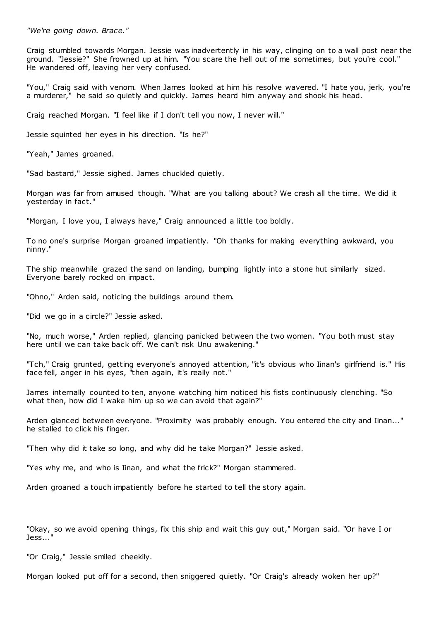*"We're going down. Brace."*

Craig stumbled towards Morgan. Jessie was inadvertently in his way, clinging on to a wall post near the ground. "Jessie?" She frowned up at him. "You scare the hell out of me sometimes, but you're cool." He wandered off, leaving her very confused.

"You," Craig said with venom. When James looked at him his resolve wavered. "I hate you, jerk, you're a murderer," he said so quietly and quickly. James heard him anyway and shook his head.

Craig reached Morgan. "I feel like if I don't tell you now, I never will."

Jessie squinted her eyes in his direction. "Is he?"

"Yeah," James groaned.

"Sad bastard," Jessie sighed. James chuckled quietly.

Morgan was far from amused though. "What are you talking about? We crash all the time. We did it yesterday in fact."

"Morgan, I love you, I always have," Craig announced a little too boldly.

To no one's surprise Morgan groaned impatiently. "Oh thanks for making everything awkward, you ninny."

The ship meanwhile grazed the sand on landing, bumping lightly into a stone hut similarly sized. Everyone barely rocked on impact.

"Ohno," Arden said, noticing the buildings around them.

"Did we go in a circle?" Jessie asked.

"No, much worse," Arden replied, glancing panicked between the two women. "You both must stay here until we can take back off. We can't risk Unu awakening."

"Tch," Craig grunted, getting everyone's annoyed attention, "it's obvious who Iinan's girlfriend is." His face fell, anger in his eyes, "then again, it's really not."

James internally counted to ten, anyone watching him noticed his fists continuously clenching. "So what then, how did I wake him up so we can avoid that again?"

Arden glanced between everyone. "Proximity was probably enough. You entered the city and Iinan..." he stalled to click his finger.

"Then why did it take so long, and why did he take Morgan?" Jessie asked.

"Yes why me, and who is Iinan, and what the frick?" Morgan stammered.

Arden groaned a touch impatiently before he started to tell the story again.

"Okay, so we avoid opening things, fix this ship and wait this guy out," Morgan said. "Or have I or Jess..."

"Or Craig," Jessie smiled cheekily.

Morgan looked put off for a second, then sniggered quietly. "Or Craig's already woken her up?"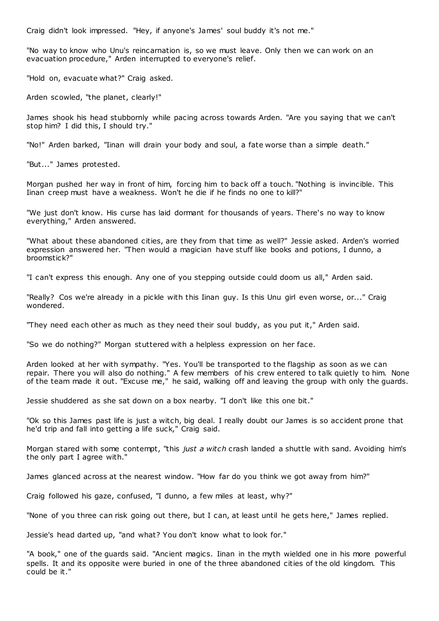Craig didn't look impressed. "Hey, if anyone's James' soul buddy it's not me."

"No way to know who Unu's reincarnation is, so we must leave. Only then we can work on an evacuation procedure," Arden interrupted to everyone's relief.

"Hold on, evacuate what?" Craig asked.

Arden scowled, "the planet, clearly!"

James shook his head stubbornly while pacing across towards Arden. "Are you saying that we can't stop him? I did this, I should try."

"No!" Arden barked, "Iinan will drain your body and soul, a fate worse than a simple death."

"But..." James protested.

Morgan pushed her way in front of him, forcing him to back off a touch. "Nothing is invincible. This Iinan creep must have a weakness. Won't he die if he finds no one to kill?"

"We just don't know. His curse has laid dormant for thousands of years. There's no way to know everything," Arden answered.

"What about these abandoned cities, are they from that time as well?" Jessie asked. Arden's worried expression answered her. "Then would a magician have stuff like books and potions, I dunno, a broomstick?"

"I can't express this enough. Any one of you stepping outside could doom us all," Arden said.

"Really? Cos we're already in a pickle with this Iinan guy. Is this Unu girl even worse, or..." Craig wondered.

"They need each other as much as they need their soul buddy, as you put it," Arden said.

"So we do nothing?" Morgan stuttered with a helpless expression on her face.

Arden looked at her with sympathy. "Yes. You'll be transported to the flagship as soon as we can repair. There you will also do nothing." A few members of his crew entered to talk quietly to him. None of the team made it out. "Excuse me," he said, walking off and leaving the group with only the guards.

Jessie shuddered as she sat down on a box nearby. "I don't like this one bit."

"Ok so this James past life is just a witch, big deal. I really doubt our James is so accident prone that he'd trip and fall into getting a life suck," Craig said.

Morgan stared with some contempt, "this *just a witch* crash landed a shuttle with sand. Avoiding him's the only part I agree with."

James glanced across at the nearest window. "How far do you think we got away from him?"

Craig followed his gaze, confused, "I dunno, a few miles at least, why?"

"None of you three can risk going out there, but I can, at least until he gets here," James replied.

Jessie's head darted up, "and what? You don't know what to look for."

"A book," one of the guards said. "Ancient magics. Iinan in the myth wielded one in his more powerful spells. It and its opposite were buried in one of the three abandoned cities of the old kingdom. This could be it."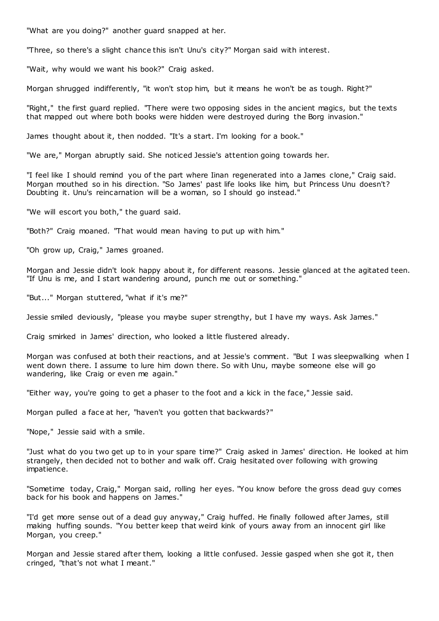"What are you doing?" another guard snapped at her.

"Three, so there's a slight chance this isn't Unu's city?" Morgan said with interest.

"Wait, why would we want his book?" Craig asked.

Morgan shrugged indifferently, "it won't stop him, but it means he won't be as tough. Right?"

"Right," the first guard replied. "There were two opposing sides in the ancient magics, but the texts that mapped out where both books were hidden were destroyed during the Borg invasion."

James thought about it, then nodded. "It's a start. I'm looking for a book."

"We are," Morgan abruptly said. She noticed Jessie's attention going towards her.

"I feel like I should remind you of the part where Iinan regenerated into a James clone," Craig said. Morgan mouthed so in his direction. "So James' past life looks like him, but Princess Unu doesn't? Doubting it. Unu's reincarnation will be a woman, so I should go instead."

"We will escort you both," the guard said.

"Both?" Craig moaned. "That would mean having to put up with him."

"Oh grow up, Craig," James groaned.

Morgan and Jessie didn't look happy about it, for different reasons. Jessie glanced at the agitated teen. "If Unu is me, and I start wandering around, punch me out or something."

"But..." Morgan stuttered, "what if it's me?"

Jessie smiled deviously, "please you maybe super strengthy, but I have my ways. Ask James."

Craig smirked in James' direction, who looked a little flustered already.

Morgan was confused at both their reactions, and at Jessie's comment. "But I was sleepwalking when I went down there. I assume to lure him down there. So with Unu, maybe someone else will go wandering, like Craig or even me again."

"Either way, you're going to get a phaser to the foot and a kick in the face," Jessie said.

Morgan pulled a face at her, "haven't you gotten that backwards?"

"Nope," Jessie said with a smile.

"Just what do you two get up to in your spare time?" Craig asked in James' direction. He looked at him strangely, then decided not to bother and walk off. Craig hesitated over following with growing impatience.

"Sometime today, Craig," Morgan said, rolling her eyes. "You know before the gross dead guy comes back for his book and happens on James."

"I'd get more sense out of a dead guy anyway," Craig huffed. He finally followed after James, still making huffing sounds. "You better keep that weird kink of yours away from an innocent girl like Morgan, you creep."

Morgan and Jessie stared after them, looking a little confused. Jessie gasped when she got it, then cringed, "that's not what I meant."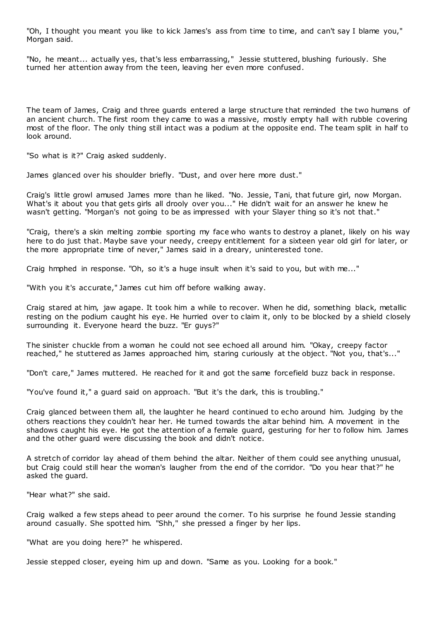"Oh, I thought you meant you like to kick James's ass from time to time, and can't say I blame you," Morgan said.

"No, he meant... actually yes, that's less embarrassing," Jessie stuttered, blushing furiously. She turned her attention away from the teen, leaving her even more confused.

The team of James, Craig and three guards entered a large structure that reminded the two humans of an ancient church. The first room they came to was a massive, mostly empty hall with rubble covering most of the floor. The only thing still intact was a podium at the opposite end. The team split in half to look around.

"So what is it?" Craig asked suddenly.

James glanced over his shoulder briefly. "Dust, and over here more dust."

Craig's little growl amused James more than he liked. "No. Jessie, Tani, that future girl, now Morgan. What's it about you that gets girls all drooly over you..." He didn't wait for an answer he knew he wasn't getting. "Morgan's not going to be as impressed with your Slayer thing so it's not that."

"Craig, there's a skin melting zombie sporting my face who wants to destroy a planet, likely on his way here to do just that. Maybe save your needy, creepy entitlement for a sixteen year old girl for later, or the more appropriate time of never," James said in a dreary, uninterested tone.

Craig hmphed in response. "Oh, so it's a huge insult when it's said to you, but with me..."

"With you it's accurate," James cut him off before walking away.

Craig stared at him, jaw agape. It took him a while to recover. When he did, something black, metallic resting on the podium caught his eye. He hurried over to claim it, only to be blocked by a shield closely surrounding it. Everyone heard the buzz. "Er guys?"

The sinister chuckle from a woman he could not see echoed all around him. "Okay, creepy factor reached," he stuttered as James approached him, staring curiously at the object. "Not you, that's..."

"Don't care," James muttered. He reached for it and got the same forcefield buzz back in response.

"You've found it," a guard said on approach. "But it's the dark, this is troubling."

Craig glanced between them all, the laughter he heard continued to echo around him. Judging by the others reactions they couldn't hear her. He turned towards the altar behind him. A movement in the shadows caught his eye. He got the attention of a female guard, gesturing for her to follow him. James and the other guard were discussing the book and didn't notice.

A stretch of corridor lay ahead of them behind the altar. Neither of them could see anything unusual, but Craig could still hear the woman's laugher from the end of the corridor. "Do you hear that?" he asked the guard.

"Hear what?" she said.

Craig walked a few steps ahead to peer around the corner. To his surprise he found Jessie standing around casually. She spotted him. "Shh," she pressed a finger by her lips.

"What are you doing here?" he whispered.

Jessie stepped closer, eyeing him up and down. "Same as you. Looking for a book."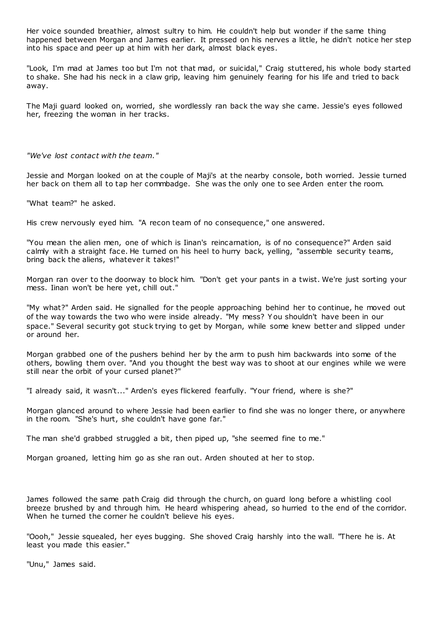Her voice sounded breathier, almost sultry to him. He couldn't help but wonder if the same thing happened between Morgan and James earlier. It pressed on his nerves a little, he didn't notice her step into his space and peer up at him with her dark, almost black eyes.

"Look, I'm mad at James too but I'm not that mad, or suicidal," Craig stuttered, his whole body started to shake. She had his neck in a claw grip, leaving him genuinely fearing for his life and tried to back away.

The Maji guard looked on, worried, she wordlessly ran back the way she came. Jessie's eyes followed her, freezing the woman in her tracks.

*"We've lost contact with the team."*

Jessie and Morgan looked on at the couple of Maji's at the nearby console, both worried. Jessie turned her back on them all to tap her commbadge. She was the only one to see Arden enter the room.

"What team?" he asked.

His crew nervously eyed him. "A recon team of no consequence," one answered.

"You mean the alien men, one of which is Iinan's reincarnation, is of no consequence?" Arden said calmly with a straight face. He turned on his heel to hurry back, yelling, "assemble security teams, bring back the aliens, whatever it takes!"

Morgan ran over to the doorway to block him. "Don't get your pants in a twist. We're just sorting your mess. Iinan won't be here yet, chill out."

"My what?" Arden said. He signalled for the people approaching behind her to continue, he moved out of the way towards the two who were inside already. "My mess? Y ou shouldn't have been in our space." Several security got stuck trying to get by Morgan, while some knew better and slipped under or around her.

Morgan grabbed one of the pushers behind her by the arm to push him backwards into some of the others, bowling them over. "And you thought the best way was to shoot at our engines while we were still near the orbit of your cursed planet?"

"I already said, it wasn't..." Arden's eyes flickered fearfully. "Your friend, where is she?"

Morgan glanced around to where Jessie had been earlier to find she was no longer there, or anywhere in the room. "She's hurt, she couldn't have gone far."

The man she'd grabbed struggled a bit, then piped up, "she seemed fine to me."

Morgan groaned, letting him go as she ran out. Arden shouted at her to stop.

James followed the same path Craig did through the church, on guard long before a whistling cool breeze brushed by and through him. He heard whispering ahead, so hurried to the end of the corridor. When he turned the corner he couldn't believe his eyes.

"Oooh," Jessie squealed, her eyes bugging. She shoved Craig harshly into the wall. "There he is. At least you made this easier."

"Unu," James said.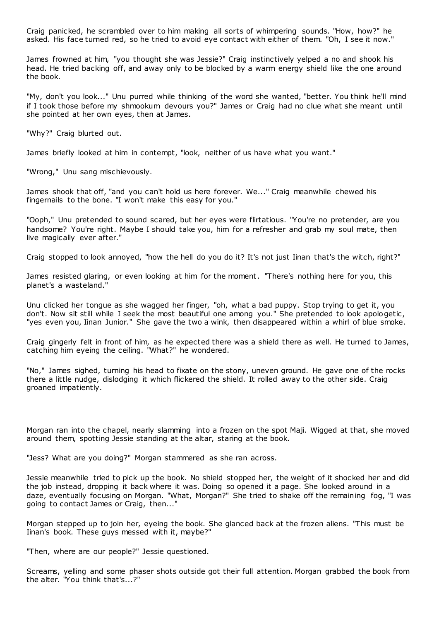Craig panicked, he scrambled over to him making all sorts of whimpering sounds. "How, how?" he asked. His face turned red, so he tried to avoid eye contact with either of them. "Oh, I see it now."

James frowned at him, "you thought she was Jessie?" Craig instinctively yelped a no and shook his head. He tried backing off, and away only to be blocked by a warm energy shield like the one around the book.

"My, don't you look..." Unu purred while thinking of the word she wanted, "better. You think he'll mind if I took those before my shmookum devours you?" James or Craig had no clue what she meant until she pointed at her own eyes, then at James.

"Why?" Craig blurted out.

James briefly looked at him in contempt, "look, neither of us have what you want."

"Wrong," Unu sang mischievously.

James shook that off, "and you can't hold us here forever. We..." Craig meanwhile chewed his fingernails to the bone. "I won't make this easy for you."

"Ooph," Unu pretended to sound scared, but her eyes were flirtatious. "You're no pretender, are you handsome? You're right. Maybe I should take you, him for a refresher and grab my soul mate, then live magically ever after."

Craig stopped to look annoyed, "how the hell do you do it? It's not just Iinan that's the witch, right?"

James resisted glaring, or even looking at him for the moment. "There's nothing here for you, this planet's a wasteland."

Unu clicked her tongue as she wagged her finger, "oh, what a bad puppy. Stop trying to get it, you don't. Now sit still while I seek the most beautiful one among you." She pretended to look apologetic, "yes even you, Iinan Junior." She gave the two a wink, then disappeared within a whirl of blue smoke.

Craig gingerly felt in front of him, as he expected there was a shield there as well. He turned to James, catching him eyeing the ceiling. "What?" he wondered.

"No," James sighed, turning his head to fixate on the stony, uneven ground. He gave one of the rocks there a little nudge, dislodging it which flickered the shield. It rolled away to the other side. Craig groaned impatiently.

Morgan ran into the chapel, nearly slamming into a frozen on the spot Maji. Wigged at that, she moved around them, spotting Jessie standing at the altar, staring at the book.

"Jess? What are you doing?" Morgan stammered as she ran across.

Jessie meanwhile tried to pick up the book. No shield stopped her, the weight of it shocked her and did the job instead, dropping it back where it was. Doing so opened it a page. She looked around in a daze, eventually focusing on Morgan. "What, Morgan?" She tried to shake off the remaining fog, "I was going to contact James or Craig, then..."

Morgan stepped up to join her, eyeing the book. She glanced back at the frozen aliens. "This must be Iinan's book. These guys messed with it, maybe?"

"Then, where are our people?" Jessie questioned.

Screams, yelling and some phaser shots outside got their full attention. Morgan grabbed the book from the alter. "You think that's...?"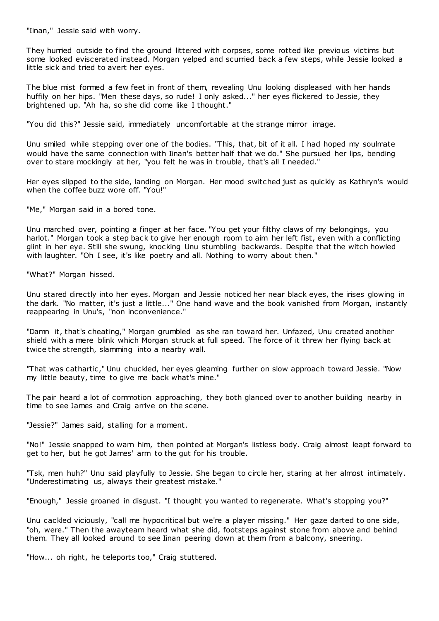"Iinan," Jessie said with worry.

They hurried outside to find the ground littered with corpses, some rotted like previous victims but some looked eviscerated instead. Morgan yelped and scurried back a few steps, while Jessie looked a little sick and tried to avert her eyes.

The blue mist formed a few feet in front of them, revealing Unu looking displeased with her hands huffily on her hips. "Men these days, so rude! I only asked..." her eyes flickered to Jessie, they brightened up. "Ah ha, so she did come like I thought."

"You did this?" Jessie said, immediately uncomfortable at the strange mirror image.

Unu smiled while stepping over one of the bodies. "This, that, bit of it all. I had hoped my soulmate would have the same connection with Iinan's better half that we do." She pursued her lips, bending over to stare mockingly at her, "you felt he was in trouble, that's all I needed."

Her eyes slipped to the side, landing on Morgan. Her mood switched just as quickly as Kathryn's would when the coffee buzz wore off. "You!"

"Me," Morgan said in a bored tone.

Unu marched over, pointing a finger at her face. "You get your filthy claws of my belongings, you harlot." Morgan took a step back to give her enough room to aim her left fist, even with a conflicting glint in her eye. Still she swung, knocking Unu stumbling backwards. Despite that the witch howled with laughter. "Oh I see, it's like poetry and all. Nothing to worry about then."

"What?" Morgan hissed.

Unu stared directly into her eyes. Morgan and Jessie noticed her near black eyes, the irises glowing in the dark. "No matter, it's just a little..." One hand wave and the book vanished from Morgan, instantly reappearing in Unu's, "non inconvenience."

"Damn it, that's cheating," Morgan grumbled as she ran toward her. Unfazed, Unu created another shield with a mere blink which Morgan struck at full speed. The force of it threw her flying back at twice the strength, slamming into a nearby wall.

"That was cathartic ," Unu chuckled, her eyes gleaming further on slow approach toward Jessie. "Now my little beauty, time to give me back what's mine."

The pair heard a lot of commotion approaching, they both glanced over to another building nearby in time to see James and Craig arrive on the scene.

"Jessie?" James said, stalling for a moment.

"No!" Jessie snapped to warn him, then pointed at Morgan's listless body. Craig almost leapt forward to get to her, but he got James' arm to the gut for his trouble.

"Tsk, men huh?" Unu said playfully to Jessie. She began to circle her, staring at her almost intimately. "Underestimating us, always their greatest mistake."

"Enough," Jessie groaned in disgust. "I thought you wanted to regenerate. What's stopping you?"

Unu cackled viciously, "call me hypocritical but we're a player missing." Her gaze darted to one side, "oh, were." Then the awayteam heard what she did, footsteps against stone from above and behind them. They all looked around to see Iinan peering down at them from a balcony, sneering.

"How... oh right, he teleports too," Craig stuttered.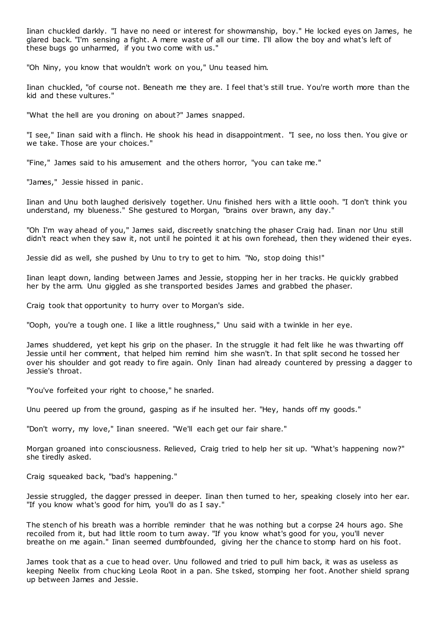Iinan chuckled darkly. "I have no need or interest for showmanship, boy." He locked eyes on James, he glared back. "I'm sensing a fight. A mere waste of all our time. I'll allow the boy and what's left of these bugs go unharmed, if you two come with us."

"Oh Niny, you know that wouldn't work on you," Unu teased him.

Iinan chuckled, "of course not. Beneath me they are. I feel that's still true. You're worth more than the kid and these vultures."

"What the hell are you droning on about?" James snapped.

"I see," Iinan said with a flinch. He shook his head in disappointment. "I see, no loss then. You give or we take. Those are your choices."

"Fine," James said to his amusement and the others horror, "you can take me."

"James," Jessie hissed in panic.

Iinan and Unu both laughed derisively together. Unu finished hers with a little oooh. "I don't think you understand, my blueness." She gestured to Morgan, "brains over brawn, any day."

"Oh I'm way ahead of you," James said, discreetly snatching the phaser Craig had. Iinan nor Unu still didn't react when they saw it, not until he pointed it at his own forehead, then they widened their eyes.

Jessie did as well, she pushed by Unu to try to get to him. "No, stop doing this!"

Iinan leapt down, landing between James and Jessie, stopping her in her tracks. He quickly grabbed her by the arm. Unu giggled as she transported besides James and grabbed the phaser.

Craig took that opportunity to hurry over to Morgan's side.

"Ooph, you're a tough one. I like a little roughness," Unu said with a twinkle in her eye.

James shuddered, yet kept his grip on the phaser. In the struggle it had felt like he was thwarting off Jessie until her comment, that helped him remind him she wasn't. In that split second he tossed her over his shoulder and got ready to fire again. Only Iinan had already countered by pressing a dagger to Jessie's throat.

"You've forfeited your right to choose," he snarled.

Unu peered up from the ground, gasping as if he insulted her. "Hey, hands off my goods."

"Don't worry, my love," Iinan sneered. "We'll each get our fair share."

Morgan groaned into consciousness. Relieved, Craig tried to help her sit up. "What's happening now?" she tiredly asked.

Craig squeaked back, "bad's happening."

Jessie struggled, the dagger pressed in deeper. Iinan then turned to her, speaking closely into her ear. "If you know what's good for him, you'll do as I say."

The stench of his breath was a horrible reminder that he was nothing but a corpse 24 hours ago. She recoiled from it, but had little room to turn away. "If you know what's good for you, you'll never breathe on me again." Iinan seemed dumbfounded, giving her the chance to stomp hard on his foot.

James took that as a cue to head over. Unu followed and tried to pull him back, it was as useless as keeping Neelix from chucking Leola Root in a pan. She tsked, stomping her foot. Another shield sprang up between James and Jessie.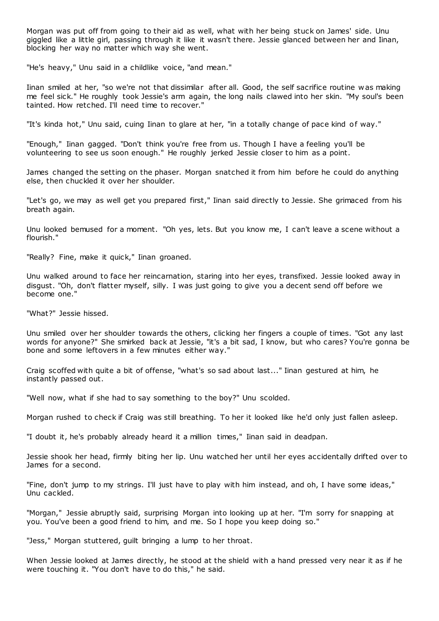Morgan was put off from going to their aid as well, what with her being stuck on James' side. Unu giggled like a little girl, passing through it like it wasn't there. Jessie glanced between her and Iinan, blocking her way no matter which way she went.

"He's heavy," Unu said in a childlike voice, "and mean."

Iinan smiled at her, "so we're not that dissimilar after all. Good, the self sacrifice routine w as making me feel sick." He roughly took Jessie's arm again, the long nails clawed into her skin. "My soul's been tainted. How retched. I'll need time to recover."

"It's kinda hot," Unu said, cuing Iinan to glare at her, "in a totally change of pace kind of way."

"Enough," Iinan gagged. "Don't think you're free from us. Though I have a feeling you'll be volunteering to see us soon enough." He roughly jerked Jessie closer to him as a point.

James changed the setting on the phaser. Morgan snatched it from him before he could do anything else, then chuckled it over her shoulder.

"Let's go, we may as well get you prepared first," Iinan said directly to Jessie. She grimaced from his breath again.

Unu looked bemused for a moment. "Oh yes, lets. But you know me, I can't leave a scene without a flourish."

"Really? Fine, make it quick," Iinan groaned.

Unu walked around to face her reincarnation, staring into her eyes, transfixed. Jessie looked away in disgust. "Oh, don't flatter myself, silly. I was just going to give you a decent send off before we become one."

"What?" Jessie hissed.

Unu smiled over her shoulder towards the others, clicking her fingers a couple of times. "Got any last words for anyone?" She smirked back at Jessie, "it's a bit sad, I know, but who cares? You're gonna be bone and some leftovers in a few minutes either way."

Craig scoffed with quite a bit of offense, "what's so sad about last..." Iinan gestured at him, he instantly passed out.

"Well now, what if she had to say something to the boy?" Unu scolded.

Morgan rushed to check if Craig was still breathing. To her it looked like he'd only just fallen asleep.

"I doubt it, he's probably already heard it a million times," Iinan said in deadpan.

Jessie shook her head, firmly biting her lip. Unu watched her until her eyes accidentally drifted over to James for a second.

"Fine, don't jump to my strings. I'll just have to play with him instead, and oh, I have some ideas," Unu cackled.

"Morgan," Jessie abruptly said, surprising Morgan into looking up at her. "I'm sorry for snapping at you. You've been a good friend to him, and me. So I hope you keep doing so."

"Jess," Morgan stuttered, guilt bringing a lump to her throat.

When Jessie looked at James directly, he stood at the shield with a hand pressed very near it as if he were touching it. "You don't have to do this," he said.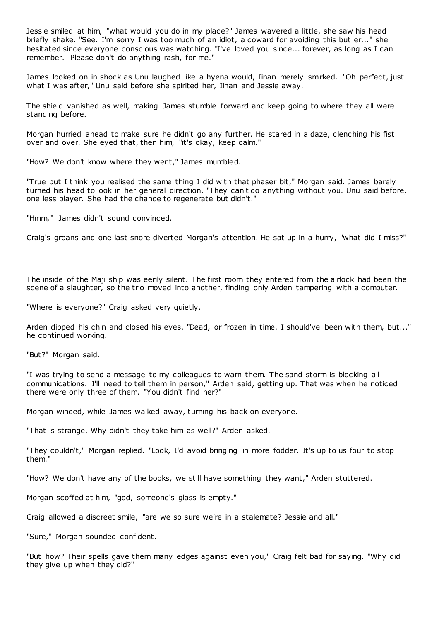Jessie smiled at him, "what would you do in my place?" James wavered a little, she saw his head briefly shake. "See. I'm sorry I was too much of an idiot, a coward for avoiding this but er..." she hesitated since everyone conscious was watching. "I've loved you since... forever, as long as I can remember. Please don't do anything rash, for me."

James looked on in shock as Unu laughed like a hyena would, Iinan merely smirked. "Oh perfect, just what I was after," Unu said before she spirited her, Iinan and Jessie away.

The shield vanished as well, making James stumble forward and keep going to where they all were standing before.

Morgan hurried ahead to make sure he didn't go any further. He stared in a daze, clenching his fist over and over. She eyed that, then him, "it's okay, keep calm."

"How? We don't know where they went," James mumbled.

"True but I think you realised the same thing I did with that phaser bit," Morgan said. James barely turned his head to look in her general direction. "They can't do anything without you. Unu said before, one less player. She had the chance to regenerate but didn't."

"Hmm," James didn't sound convinced.

Craig's groans and one last snore diverted Morgan's attention. He sat up in a hurry, "what did I miss?"

The inside of the Maji ship was eerily silent. The first room they entered from the airlock had been the scene of a slaughter, so the trio moved into another, finding only Arden tampering with a computer.

"Where is everyone?" Craig asked very quietly.

Arden dipped his chin and closed his eyes. "Dead, or frozen in time. I should've been with them, but..." he continued working.

"But?" Morgan said.

"I was trying to send a message to my colleagues to warn them. The sand storm is blocking all communications. I'll need to tell them in person," Arden said, getting up. That was when he noticed there were only three of them. "You didn't find her?"

Morgan winced, while James walked away, turning his back on everyone.

"That is strange. Why didn't they take him as well?" Arden asked.

"They couldn't," Morgan replied. "Look, I'd avoid bringing in more fodder. It's up to us four to stop them."

"How? We don't have any of the books, we still have something they want," Arden stuttered.

Morgan scoffed at him, "god, someone's glass is empty."

Craig allowed a discreet smile, "are we so sure we're in a stalemate? Jessie and all."

"Sure," Morgan sounded confident.

"But how? Their spells gave them many edges against even you," Craig felt bad for saying. "Why did they give up when they did?"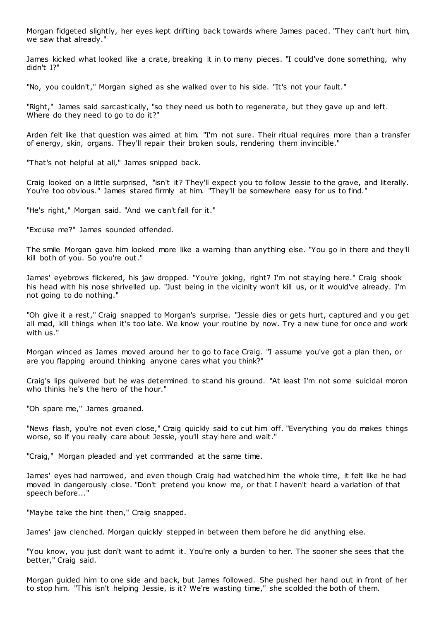Morgan fidgeted slightly, her eyes kept drifting back towards where James paced. "They can't hurt him, we saw that already."

James kicked what looked like a crate, breaking it in to many pieces. "I could've done something, why didn't I?"

"No, you couldn't," Morgan sighed as she walked over to his side. "It's not your fault."

"Right," James said sarcastically, "so they need us both to regenerate, but they gave up and left. Where do they need to go to do it?"

Arden felt like that question was aimed at him. "I'm not sure. Their ritual requires more than a transfer of energy, skin, organs. They'll repair their broken souls, rendering them invincible."

"That's not helpful at all," James snipped back.

Craig looked on a little surprised, "isn't it? They'll expect you to follow Jessie to the grave, and literally. You're too obvious." James stared firmly at him. "They'll be somewhere easy for us to find."

"He's right," Morgan said. "And we can't fall for it."

"Excuse me?" James sounded offended.

The smile Morgan gave him looked more like a warning than anything else. "You go in there and they'll kill both of you. So you're out."

James' eyebrows flickered, his jaw dropped. "You're joking, right? I'm not staying here." Craig shook his head with his nose shrivelled up. "Just being in the vicinity won't kill us, or it would've already. I'm not going to do nothing."

"Oh give it a rest," Craig snapped to Morgan's surprise. "Jessie dies or gets hurt, captured and you get all mad, kill things when it's too late. We know your routine by now. Try a new tune for once and work with us."

Morgan winced as James moved around her to go to face Craig. "I assume you've got a plan then, or are you flapping around thinking anyone cares what you think?"

Craig's lips quivered but he was determined to stand his ground. "At least I'm not some suicidal moron who thinks he's the hero of the hour."

"Oh spare me," James groaned.

"News flash, you're not even close," Craig quickly said to cut him off. "Everything you do makes things worse, so if you really care about Jessie, you'll stay here and wait."

"Craig," Morgan pleaded and yet commanded at the same time.

James' eyes had narrowed, and even though Craig had watched him the whole time, it felt like he had moved in dangerously close. "Don't pretend you know me, or that I haven't heard a variation of that speech before..."

"Maybe take the hint then," Craig snapped.

James' jaw clenched. Morgan quickly stepped in between them before he did anything else.

"You know, you just don't want to admit it. You're only a burden to her. The sooner she sees that the better," Craig said.

Morgan guided him to one side and back, but James followed. She pushed her hand out in front of her to stop him. "This isn't helping Jessie, is it? We're wasting time," she scolded the both of them.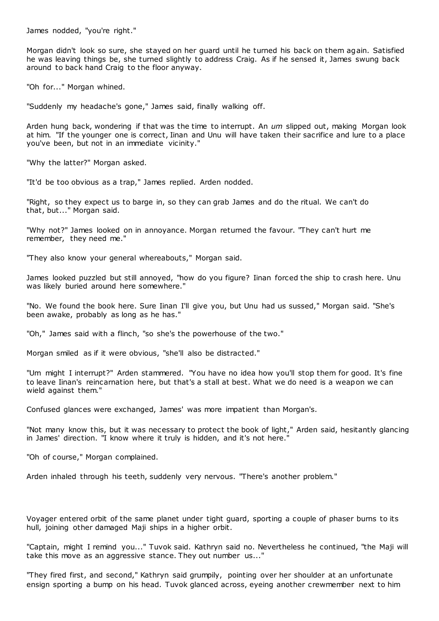James nodded, "you're right."

Morgan didn't look so sure, she stayed on her guard until he turned his back on them again. Satisfied he was leaving things be, she turned slightly to address Craig. As if he sensed it, James swung back around to back hand Craig to the floor anyway.

"Oh for..." Morgan whined.

"Suddenly my headache's gone," James said, finally walking off.

Arden hung back, wondering if that was the time to interrupt. An *um* slipped out, making Morgan look at him. "If the younger one is correct, Iinan and Unu will have taken their sacrifice and lure to a place you've been, but not in an immediate vicinity."

"Why the latter?" Morgan asked.

"It'd be too obvious as a trap," James replied. Arden nodded.

"Right, so they expect us to barge in, so they can grab James and do the ritual. We can't do that, but..." Morgan said.

"Why not?" James looked on in annoyance. Morgan returned the favour. "They can't hurt me remember, they need me."

"They also know your general whereabouts," Morgan said.

James looked puzzled but still annoyed, "how do you figure? Iinan forced the ship to crash here. Unu was likely buried around here somewhere."

"No. We found the book here. Sure Iinan I'll give you, but Unu had us sussed," Morgan said. "She's been awake, probably as long as he has."

"Oh," James said with a flinch, "so she's the powerhouse of the two."

Morgan smiled as if it were obvious, "she'll also be distracted."

"Um might I interrupt?" Arden stammered. "You have no idea how you'll stop them for good. It's fine to leave Iinan's reincarnation here, but that's a stall at best. What we do need is a weapon we can wield against them."

Confused glances were exchanged, James' was more impatient than Morgan's.

"Not many know this, but it was necessary to protect the book of light," Arden said, hesitantly glancing in James' direction. "I know where it truly is hidden, and it's not here."

"Oh of course," Morgan complained.

Arden inhaled through his teeth, suddenly very nervous. "There's another problem."

Voyager entered orbit of the same planet under tight guard, sporting a couple of phaser burns to its hull, joining other damaged Maji ships in a higher orbit.

"Captain, might I remind you..." Tuvok said. Kathryn said no. Nevertheless he continued, "the Maji will take this move as an aggressive stance. They out number us..."

"They fired first, and second," Kathryn said grumpily, pointing over her shoulder at an unfortunate ensign sporting a bump on his head. Tuvok glanced across, eyeing another crewmember next to him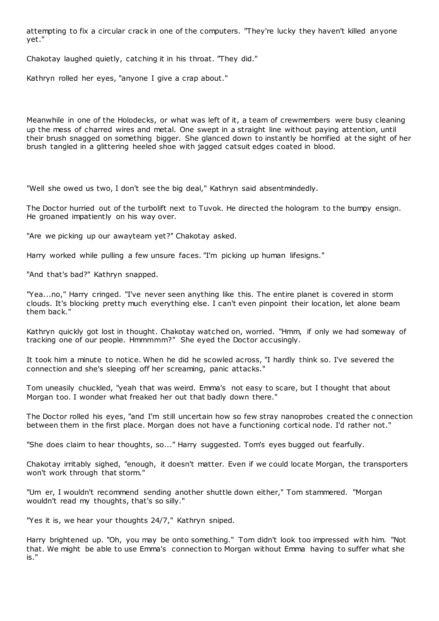attempting to fix a circular crack in one of the computers. "They're lucky they haven't killed anyone yet."

Chakotay laughed quietly, catching it in his throat. "They did."

Kathryn rolled her eyes, "anyone I give a crap about."

Meanwhile in one of the Holodecks, or what was left of it, a team of crewmembers were busy cleaning up the mess of charred wires and metal. One swept in a straight line without paying attention, until their brush snagged on something bigger. She glanced down to instantly be horrified at the sight of her brush tangled in a glittering heeled shoe with jagged catsuit edges coated in blood.

"Well she owed us two, I don't see the big deal," Kathryn said absentmindedly.

The Doctor hurried out of the turbolift next to Tuvok. He directed the hologram to the bumpy ensign. He groaned impatiently on his way over.

"Are we picking up our awayteam yet?" Chakotay asked.

Harry worked while pulling a few unsure faces. "I'm picking up human lifesigns."

"And that's bad?" Kathryn snapped.

"Yea...no," Harry cringed. "I've never seen anything like this. The entire planet is covered in storm clouds. It's blocking pretty much everything else. I can't even pinpoint their location, let alone beam them back."

Kathryn quickly got lost in thought. Chakotay watched on, worried. "Hmm, if only we had someway of tracking one of our people. Hmmmmm?" She eyed the Doctor accusingly.

It took him a minute to notice. When he did he scowled across, "I hardly think so. I've severed the connection and she's sleeping off her screaming, panic attacks."

Tom uneasily chuckled, "yeah that was weird. Emma's not easy to scare, but I thought that about Morgan too. I wonder what freaked her out that badly down there."

The Doctor rolled his eyes, "and I'm still uncertain how so few stray nanoprobes created the c onnection between them in the first place. Morgan does not have a functioning cortical node. I'd rather not."

"She does claim to hear thoughts, so..." Harry suggested. Tom's eyes bugged out fearfully.

Chakotay irritably sighed, "enough, it doesn't matter. Even if we could locate Morgan, the transporters won't work through that storm."

"Um er, I wouldn't recommend sending another shuttle down either," Tom stammered. "Morgan wouldn't read my thoughts, that's so silly."

"Yes it is, we hear your thoughts 24/7," Kathryn sniped.

Harry brightened up. "Oh, you may be onto something." Tom didn't look too impressed with him. "Not that. We might be able to use Emma's connection to Morgan without Emma having to suffer what she is."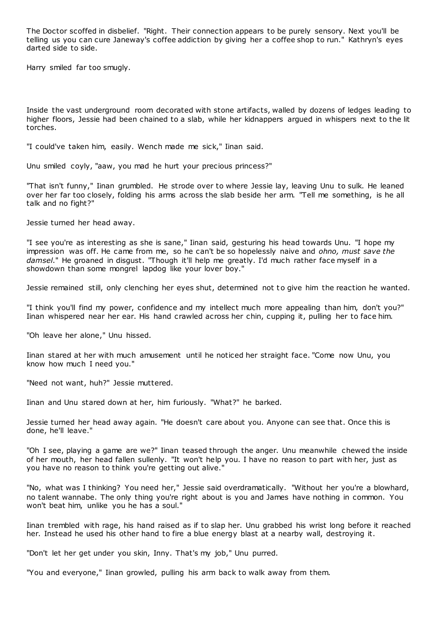The Doctor scoffed in disbelief. "Right. Their connection appears to be purely sensory. Next you'll be telling us you can cure Janeway's coffee addiction by giving her a coffee shop to run." Kathryn's eyes darted side to side.

Harry smiled far too smugly.

Inside the vast underground room decorated with stone artifacts, walled by dozens of ledges leading to higher floors, Jessie had been chained to a slab, while her kidnappers argued in whispers next to the lit torches.

"I could've taken him, easily. Wench made me sick," Iinan said.

Unu smiled coyly, "aaw, you mad he hurt your precious princess?"

"That isn't funny," Iinan grumbled. He strode over to where Jessie lay, leaving Unu to sulk. He leaned over her far too closely, folding his arms across the slab beside her arm. "Tell me something, is he all talk and no fight?"

Jessie turned her head away.

"I see you're as interesting as she is sane," Iinan said, gesturing his head towards Unu. "I hope my impression was off. He came from me, so he can't be so hopelessly naive and *ohno, must save the damsel*." He groaned in disgust. "Though it'll help me greatly. I'd much rather face myself in a showdown than some mongrel lapdog like your lover boy."

Jessie remained still, only clenching her eyes shut, determined not to give him the reaction he wanted.

"I think you'll find my power, confidence and my intellect much more appealing than him, don't you?" Iinan whispered near her ear. His hand crawled across her chin, cupping it, pulling her to face him.

"Oh leave her alone," Unu hissed.

Iinan stared at her with much amusement until he noticed her straight face. "Come now Unu, you know how much I need you."

"Need not want, huh?" Jessie muttered.

Iinan and Unu stared down at her, him furiously. "What?" he barked.

Jessie turned her head away again. "He doesn't care about you. Anyone can see that. Once this is done, he'll leave."

"Oh I see, playing a game are we?" Iinan teased through the anger. Unu meanwhile chewed the inside of her mouth, her head fallen sullenly. "It won't help you. I have no reason to part with her, just as you have no reason to think you're getting out alive."

"No, what was I thinking? You need her," Jessie said overdramatically. "Without her you're a blowhard, no talent wannabe. The only thing you're right about is you and James have nothing in common. You won't beat him, unlike you he has a soul."

Iinan trembled with rage, his hand raised as if to slap her. Unu grabbed his wrist long before it reached her. Instead he used his other hand to fire a blue energy blast at a nearby wall, destroying it.

"Don't let her get under you skin, Inny. That's my job," Unu purred.

"You and everyone," Iinan growled, pulling his arm back to walk away from them.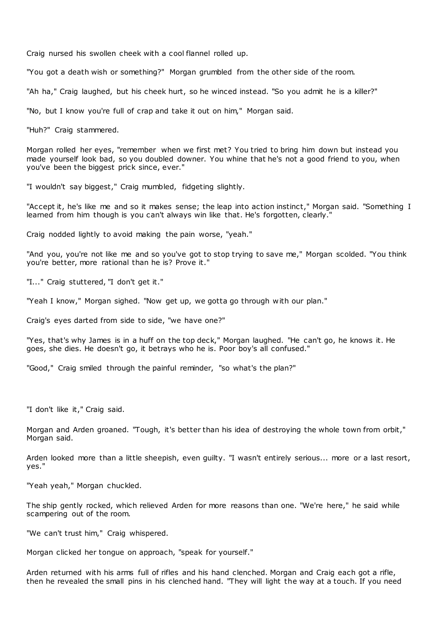Craig nursed his swollen cheek with a cool flannel rolled up.

"You got a death wish or something?" Morgan grumbled from the other side of the room.

"Ah ha," Craig laughed, but his cheek hurt, so he winced instead. "So you admit he is a killer?"

"No, but I know you're full of crap and take it out on him," Morgan said.

"Huh?" Craig stammered.

Morgan rolled her eyes, "remember when we first met? You tried to bring him down but instead you made yourself look bad, so you doubled downer. You whine that he's not a good friend to you, when you've been the biggest prick since, ever."

"I wouldn't say biggest," Craig mumbled, fidgeting slightly.

"Accept it, he's like me and so it makes sense; the leap into action instinct," Morgan said. "Something I learned from him though is you can't always win like that. He's forgotten, clearly."

Craig nodded lightly to avoid making the pain worse, "yeah."

"And you, you're not like me and so you've got to stop trying to save me," Morgan scolded. "You think you're better, more rational than he is? Prove it."

"I..." Craig stuttered, "I don't get it."

"Yeah I know," Morgan sighed. "Now get up, we gotta go through with our plan."

Craig's eyes darted from side to side, "we have one?"

"Yes, that's why James is in a huff on the top deck," Morgan laughed. "He can't go, he knows it. He goes, she dies. He doesn't go, it betrays who he is. Poor boy's all confused."

"Good," Craig smiled through the painful reminder, "so what's the plan?"

"I don't like it," Craig said.

Morgan and Arden groaned. "Tough, it's better than his idea of destroying the whole town from orbit," Morgan said.

Arden looked more than a little sheepish, even guilty. "I wasn't entirely serious... more or a last resort, yes."

"Yeah yeah," Morgan chuckled.

The ship gently rocked, which relieved Arden for more reasons than one. "We're here," he said while scampering out of the room.

"We can't trust him," Craig whispered.

Morgan clicked her tongue on approach, "speak for yourself."

Arden returned with his arms full of rifles and his hand clenched. Morgan and Craig each got a rifle, then he revealed the small pins in his clenched hand. "They will light the way at a touch. If you need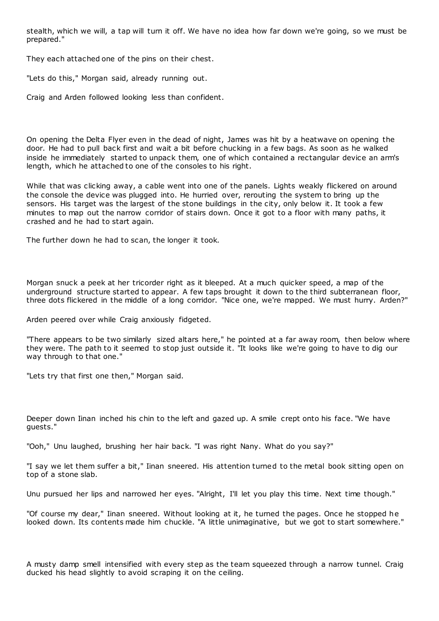stealth, which we will, a tap will turn it off. We have no idea how far down we're going, so we must be prepared."

They each attached one of the pins on their chest.

"Lets do this," Morgan said, already running out.

Craig and Arden followed looking less than confident.

On opening the Delta Flyer even in the dead of night, James was hit by a heatwave on opening the door. He had to pull back first and wait a bit before chucking in a few bags. As soon as he walked inside he immediately started to unpack them, one of which contained a rectangular device an arm's length, which he attached to one of the consoles to his right.

While that was clicking away, a cable went into one of the panels. Lights weakly flickered on around the console the device was plugged into. He hurried over, rerouting the system to bring up the sensors. His target was the largest of the stone buildings in the city, only below it. It took a few minutes to map out the narrow corridor of stairs down. Once it got to a floor with many paths, it crashed and he had to start again.

The further down he had to scan, the longer it took.

Morgan snuck a peek at her tricorder right as it bleeped. At a much quicker speed, a map of the underground structure started to appear. A few taps brought it down to the third subterranean floor, three dots flickered in the middle of a long corridor. "Nice one, we're mapped. We must hurry. Arden?"

Arden peered over while Craig anxiously fidgeted.

"There appears to be two similarly sized altars here," he pointed at a far away room, then below where they were. The path to it seemed to stop just outside it. "It looks like we're going to have to dig our way through to that one."

"Lets try that first one then," Morgan said.

Deeper down Iinan inched his chin to the left and gazed up. A smile crept onto his face. "We have guests."

"Ooh," Unu laughed, brushing her hair back. "I was right Nany. What do you say?"

"I say we let them suffer a bit," Iinan sneered. His attention turned to the metal book sitting open on top of a stone slab.

Unu pursued her lips and narrowed her eyes. "Alright, I'll let you play this time. Next time though."

"Of course my dear," Iinan sneered. Without looking at it, he turned the pages. Once he stopped he looked down. Its contents made him chuckle. "A little unimaginative, but we got to start somewhere."

A musty damp smell intensified with every step as the team squeezed through a narrow tunnel. Craig ducked his head slightly to avoid scraping it on the ceiling.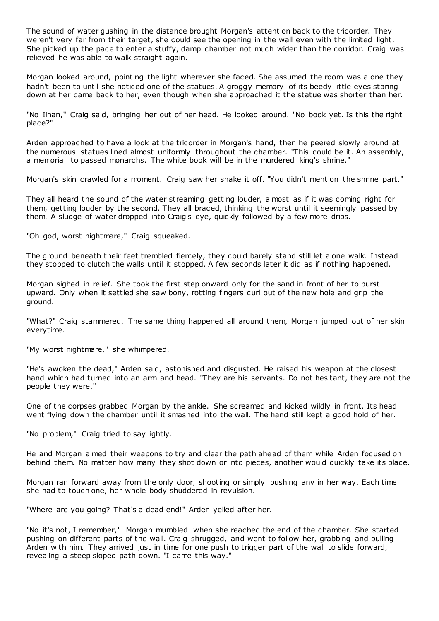The sound of water gushing in the distance brought Morgan's attention back to the tricorder. They weren't very far from their target, she could see the opening in the wall even with the limited light. She picked up the pace to enter a stuffy, damp chamber not much wider than the corridor. Craig was relieved he was able to walk straight again.

Morgan looked around, pointing the light wherever she faced. She assumed the room was a one they hadn't been to until she noticed one of the statues. A groggy memory of its beedy little eyes staring down at her came back to her, even though when she approached it the statue was shorter than her.

"No Iinan," Craig said, bringing her out of her head. He looked around. "No book yet. Is this the right place?"

Arden approached to have a look at the tricorder in Morgan's hand, then he peered slowly around at the numerous statues lined almost uniformly throughout the chamber. "This could be it. An assembly, a memorial to passed monarchs. The white book will be in the murdered king's shrine."

Morgan's skin crawled for a moment. Craig saw her shake it off. "You didn't mention the shrine part."

They all heard the sound of the water streaming getting louder, almost as if it was coming right for them, getting louder by the second. They all braced, thinking the worst until it seemingly passed by them. A sludge of water dropped into Craig's eye, quickly followed by a few more drips.

"Oh god, worst nightmare," Craig squeaked.

The ground beneath their feet trembled fiercely, they could barely stand still let alone walk. Instead they stopped to clutch the walls until it stopped. A few seconds later it did as if nothing happened.

Morgan sighed in relief. She took the first step onward only for the sand in front of her to burst upward. Only when it settled she saw bony, rotting fingers curl out of the new hole and grip the ground.

"What?" Craig stammered. The same thing happened all around them, Morgan jumped out of her skin everytime.

"My worst nightmare," she whimpered.

"He's awoken the dead," Arden said, astonished and disgusted. He raised his weapon at the closest hand which had turned into an arm and head. "They are his servants. Do not hesitant, they are not the people they were."

One of the corpses grabbed Morgan by the ankle. She screamed and kicked wildly in front. Its head went flying down the chamber until it smashed into the wall. The hand still kept a good hold of her.

"No problem," Craig tried to say lightly.

He and Morgan aimed their weapons to try and clear the path ahead of them while Arden focused on behind them. No matter how many they shot down or into pieces, another would quickly take its place.

Morgan ran forward away from the only door, shooting or simply pushing any in her way. Each time she had to touch one, her whole body shuddered in revulsion.

"Where are you going? That's a dead end!" Arden yelled after her.

"No it's not, I remember," Morgan mumbled when she reached the end of the chamber. She started pushing on different parts of the wall. Craig shrugged, and went to follow her, grabbing and pulling Arden with him. They arrived just in time for one push to trigger part of the wall to slide forward, revealing a steep sloped path down. "I came this way."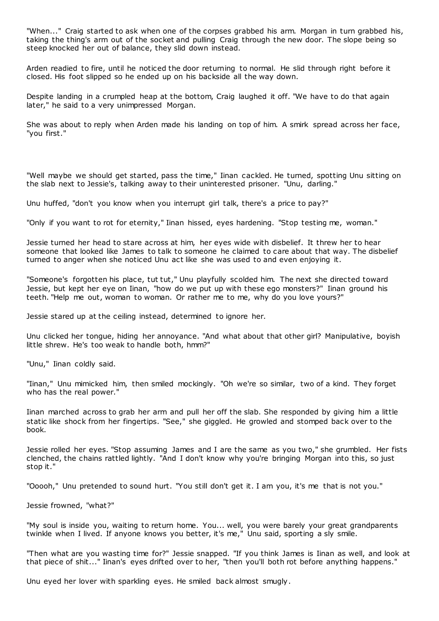"When..." Craig started to ask when one of the corpses grabbed his arm. Morgan in turn grabbed his, taking the thing's arm out of the socket and pulling Craig through the new door. The slope being so steep knocked her out of balance, they slid down instead.

Arden readied to fire, until he noticed the door returning to normal. He slid through right before it closed. His foot slipped so he ended up on his backside all the way down.

Despite landing in a crumpled heap at the bottom, Craig laughed it off. "We have to do that again later," he said to a very unimpressed Morgan.

She was about to reply when Arden made his landing on top of him. A smirk spread across her face, "you first."

"Well maybe we should get started, pass the time," Iinan cackled. He turned, spotting Unu sitting on the slab next to Jessie's, talking away to their uninterested prisoner. "Unu, darling."

Unu huffed, "don't you know when you interrupt girl talk, there's a price to pay?"

"Only if you want to rot for eternity," Iinan hissed, eyes hardening. "Stop testing me, woman."

Jessie turned her head to stare across at him, her eyes wide with disbelief. It threw her to hear someone that looked like James to talk to someone he claimed to care about that way. The disbelief turned to anger when she noticed Unu act like she was used to and even enjoying it.

"Someone's forgotten his place, tut tut," Unu playfully scolded him. The next she directed toward Jessie, but kept her eye on Iinan, "how do we put up with these ego monsters?" Iinan ground his teeth. "Help me out, woman to woman. Or rather me to me, why do you love yours?"

Jessie stared up at the ceiling instead, determined to ignore her.

Unu clicked her tongue, hiding her annoyance. "And what about that other girl? Manipulative, boyish little shrew. He's too weak to handle both, hmm?"

"Unu," Iinan coldly said.

"Iinan," Unu mimicked him, then smiled mockingly. "Oh we're so similar, two of a kind. They forget who has the real power."

Iinan marched across to grab her arm and pull her off the slab. She responded by giving him a little static like shock from her fingertips. "See," she giggled. He growled and stomped back over to the book.

Jessie rolled her eyes. "Stop assuming James and I are the same as you two," she grumbled. Her fists clenched, the chains rattled lightly. "And I don't know why you're bringing Morgan into this, so just stop it."

"Ooooh," Unu pretended to sound hurt. "You still don't get it. I am you, it's me that is not you."

Jessie frowned, "what?"

"My soul is inside you, waiting to return home. You... well, you were barely your great grandparents twinkle when I lived. If anyone knows you better, it's me," Unu said, sporting a sly smile.

"Then what are you wasting time for?" Jessie snapped. "If you think James is Iinan as well, and look at that piece of shit..." Iinan's eyes drifted over to her, "then you'll both rot before anything happens."

Unu eyed her lover with sparkling eyes. He smiled back almost smugly.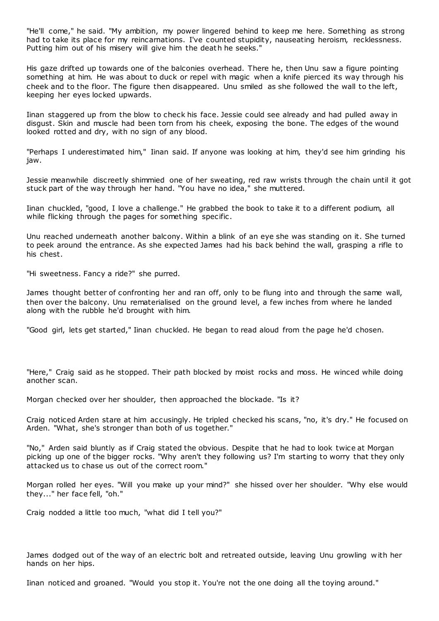"He'll come," he said. "My ambition, my power lingered behind to keep me here. Something as strong had to take its place for my reincarnations. I've counted stupidity, nauseating heroism, recklessness. Putting him out of his misery will give him the death he seeks."

His gaze drifted up towards one of the balconies overhead. There he, then Unu saw a figure pointing something at him. He was about to duck or repel with magic when a knife pierced its way through his cheek and to the floor. The figure then disappeared. Unu smiled as she followed the wall to the left, keeping her eyes locked upwards.

Iinan staggered up from the blow to check his face. Jessie could see already and had pulled away in disgust. Skin and muscle had been torn from his cheek, exposing the bone. The edges of the wound looked rotted and dry, with no sign of any blood.

"Perhaps I underestimated him," Iinan said. If anyone was looking at him, they'd see him grinding his jaw.

Jessie meanwhile discreetly shimmied one of her sweating, red raw wrists through the chain until it got stuck part of the way through her hand. "You have no idea," she muttered.

Iinan chuckled, "good, I love a challenge." He grabbed the book to take it to a different podium, all while flicking through the pages for something specific.

Unu reached underneath another balcony. Within a blink of an eye she was standing on it. She turned to peek around the entrance. As she expected James had his back behind the wall, grasping a rifle to his chest.

"Hi sweetness. Fancy a ride?" she purred.

James thought better of confronting her and ran off, only to be flung into and through the same wall, then over the balcony. Unu rematerialised on the ground level, a few inches from where he landed along with the rubble he'd brought with him.

"Good girl, lets get started," Iinan chuckled. He began to read aloud from the page he'd chosen.

"Here," Craig said as he stopped. Their path blocked by moist rocks and moss. He winced while doing another scan.

Morgan checked over her shoulder, then approached the blockade. "Is it?

Craig noticed Arden stare at him accusingly. He tripled checked his scans, "no, it's dry." He focused on Arden. "What, she's stronger than both of us together."

"No," Arden said bluntly as if Craig stated the obvious. Despite that he had to look twice at Morgan picking up one of the bigger rocks. "Why aren't they following us? I'm starting to worry that they only attacked us to chase us out of the correct room."

Morgan rolled her eyes. "Will you make up your mind?" she hissed over her shoulder. "Why else would they..." her face fell, "oh."

Craig nodded a little too much, "what did I tell you?"

James dodged out of the way of an electric bolt and retreated outside, leaving Unu growling w ith her hands on her hips.

Iinan noticed and groaned. "Would you stop it. You're not the one doing all the toying around."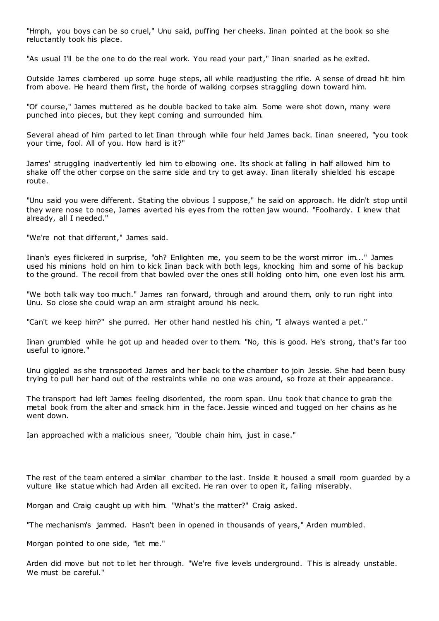"Hmph, you boys can be so cruel," Unu said, puffing her cheeks. Iinan pointed at the book so she reluctantly took his place.

"As usual I'll be the one to do the real work. You read your part," Iinan snarled as he exited.

Outside James clambered up some huge steps, all while readjusting the rifle. A sense of dread hit him from above. He heard them first, the horde of walking corpses straggling down toward him.

"Of course," James muttered as he double backed to take aim. Some were shot down, many were punched into pieces, but they kept coming and surrounded him.

Several ahead of him parted to let Iinan through while four held James back. Iinan sneered, "you took your time, fool. All of you. How hard is it?"

James' struggling inadvertently led him to elbowing one. Its shock at falling in half allowed him to shake off the other corpse on the same side and try to get away. Iinan literally shielded his escape route.

"Unu said you were different. Stating the obvious I suppose," he said on approach. He didn't stop until they were nose to nose, James averted his eyes from the rotten jaw wound. "Foolhardy. I knew that already, all I needed."

"We're not that different," James said.

Iinan's eyes flickered in surprise, "oh? Enlighten me, you seem to be the worst mirror im..." James used his minions hold on him to kick Iinan back with both legs, knocking him and some of his backup to the ground. The recoil from that bowled over the ones still holding onto him, one even lost his arm.

"We both talk way too much." James ran forward, through and around them, only to run right into Unu. So close she could wrap an arm straight around his neck.

"Can't we keep him?" she purred. Her other hand nestled his chin, "I always wanted a pet."

Iinan grumbled while he got up and headed over to them. "No, this is good. He's strong, that's far too useful to ignore."

Unu giggled as she transported James and her back to the chamber to join Jessie. She had been busy trying to pull her hand out of the restraints while no one was around, so froze at their appearance.

The transport had left James feeling disoriented, the room span. Unu took that chance to grab the metal book from the alter and smack him in the face. Jessie winced and tugged on her chains as he went down.

Ian approached with a malicious sneer, "double chain him, just in case."

The rest of the team entered a similar chamber to the last. Inside it housed a small room guarded by a vulture like statue which had Arden all excited. He ran over to open it, failing miserably.

Morgan and Craig caught up with him. "What's the matter?" Craig asked.

"The mechanism's jammed. Hasn't been in opened in thousands of years," Arden mumbled.

Morgan pointed to one side, "let me."

Arden did move but not to let her through. "We're five levels underground. This is already unstable. We must be careful."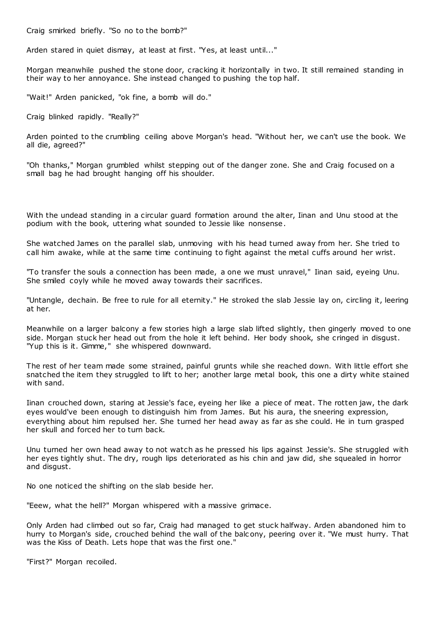Craig smirked briefly. "So no to the bomb?"

Arden stared in quiet dismay, at least at first. "Yes, at least until..."

Morgan meanwhile pushed the stone door, cracking it horizontally in two. It still remained standing in their way to her annoyance. She instead changed to pushing the top half.

"Wait!" Arden panicked, "ok fine, a bomb will do."

Craig blinked rapidly. "Really?"

Arden pointed to the crumbling ceiling above Morgan's head. "Without her, we can't use the book. We all die, agreed?"

"Oh thanks," Morgan grumbled whilst stepping out of the danger zone. She and Craig focused on a small bag he had brought hanging off his shoulder.

With the undead standing in a circular guard formation around the alter, Iinan and Unu stood at the podium with the book, uttering what sounded to Jessie like nonsense.

She watched James on the parallel slab, unmoving with his head turned away from her. She tried to call him awake, while at the same time continuing to fight against the metal cuffs around her wrist.

"To transfer the souls a connection has been made, a one we must unravel," Iinan said, eyeing Unu. She smiled coyly while he moved away towards their sacrifices.

"Untangle, dechain. Be free to rule for all eternity." He stroked the slab Jessie lay on, circling it, leering at her.

Meanwhile on a larger balcony a few stories high a large slab lifted slightly, then gingerly moved to one side. Morgan stuck her head out from the hole it left behind. Her body shook, she cringed in disgust. "Yup this is it. Gimme," she whispered downward.

The rest of her team made some strained, painful grunts while she reached down. With little effort she snatched the item they struggled to lift to her; another large metal book, this one a dirty white stained with sand.

Iinan crouched down, staring at Jessie's face, eyeing her like a piece of meat. The rotten jaw, the dark eyes would've been enough to distinguish him from James. But his aura, the sneering expression, everything about him repulsed her. She turned her head away as far as she could. He in turn grasped her skull and forced her to turn back.

Unu turned her own head away to not watch as he pressed his lips against Jessie's. She struggled with her eyes tightly shut. The dry, rough lips deteriorated as his chin and jaw did, she squealed in horror and disgust.

No one noticed the shifting on the slab beside her.

"Eeew, what the hell?" Morgan whispered with a massive grimace.

Only Arden had climbed out so far, Craig had managed to get stuck halfway. Arden abandoned him to hurry to Morgan's side, crouched behind the wall of the balc ony, peering over it. "We must hurry. That was the Kiss of Death. Lets hope that was the first one."

"First?" Morgan recoiled.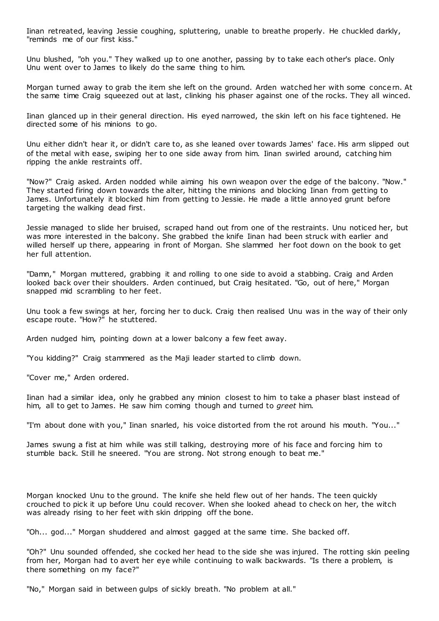Iinan retreated, leaving Jessie coughing, spluttering, unable to breathe properly. He chuckled darkly, "reminds me of our first kiss."

Unu blushed, "oh you." They walked up to one another, passing by to take each other's place. Only Unu went over to James to likely do the same thing to him.

Morgan turned away to grab the item she left on the ground. Arden watched her with some concern. At the same time Craig squeezed out at last, clinking his phaser against one of the rocks. They all winced.

Iinan glanced up in their general direction. His eyed narrowed, the skin left on his face tightened. He directed some of his minions to go.

Unu either didn't hear it, or didn't care to, as she leaned over towards James' face. His arm slipped out of the metal with ease, swiping her to one side away from him. Iinan swirled around, catching him ripping the ankle restraints off.

"Now?" Craig asked. Arden nodded while aiming his own weapon over the edge of the balcony. "Now." They started firing down towards the alter, hitting the minions and blocking Iinan from getting to James. Unfortunately it blocked him from getting to Jessie. He made a little annoyed grunt before targeting the walking dead first.

Jessie managed to slide her bruised, scraped hand out from one of the restraints. Unu noticed her, but was more interested in the balcony. She grabbed the knife Iinan had been struck with earlier and willed herself up there, appearing in front of Morgan. She slammed her foot down on the book to get her full attention.

"Damn," Morgan muttered, grabbing it and rolling to one side to avoid a stabbing. Craig and Arden looked back over their shoulders. Arden continued, but Craig hesitated. "Go, out of here," Morgan snapped mid scrambling to her feet.

Unu took a few swings at her, forcing her to duck. Craig then realised Unu was in the way of their only escape route. "How?" he stuttered.

Arden nudged him, pointing down at a lower balcony a few feet away.

"You kidding?" Craig stammered as the Maji leader started to climb down.

"Cover me," Arden ordered.

Iinan had a similar idea, only he grabbed any minion closest to him to take a phaser blast instead of him, all to get to James. He saw him coming though and turned to *greet* him.

"I'm about done with you," Iinan snarled, his voice distorted from the rot around his mouth. "You..."

James swung a fist at him while was still talking, destroying more of his face and forcing him to stumble back. Still he sneered. "You are strong. Not strong enough to beat me."

Morgan knocked Unu to the ground. The knife she held flew out of her hands. The teen quickly crouched to pick it up before Unu could recover. When she looked ahead to check on her, the witch was already rising to her feet with skin dripping off the bone.

"Oh... god..." Morgan shuddered and almost gagged at the same time. She backed off.

"Oh?" Unu sounded offended, she cocked her head to the side she was injured. The rotting skin peeling from her, Morgan had to avert her eye while c ontinuing to walk backwards. "Is there a problem, is there something on my face?"

"No," Morgan said in between gulps of sickly breath. "No problem at all."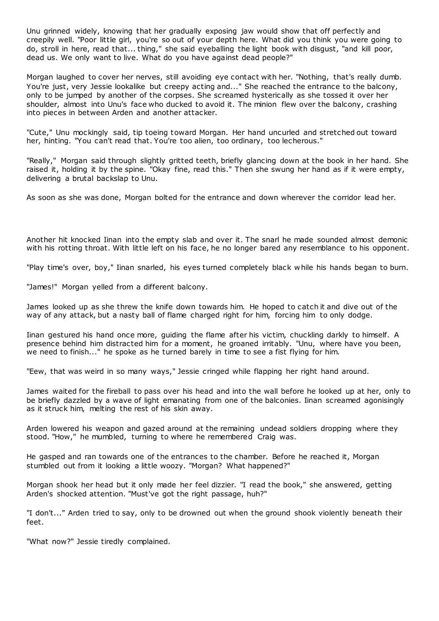Unu grinned widely, knowing that her gradually exposing jaw would show that off perfectly and creepily well. "Poor little girl, you're so out of your depth here. What did you think you were going to do, stroll in here, read that... thing," she said eyeballing the light book with disgust, "and kill poor, dead us. We only want to live. What do you have against dead people?"

Morgan laughed to cover her nerves, still avoiding eye contact with her. "Nothing, that's really dumb. You're just, very Jessie lookalike but creepy acting and..." She reached the entrance to the balcony, only to be jumped by another of the corpses. She screamed hysterically as she tossed it over her shoulder, almost into Unu's face who ducked to avoid it. The minion flew over the balcony, crashing into pieces in between Arden and another attacker.

"Cute," Unu mockingly said, tip toeing toward Morgan. Her hand uncurled and stretched out toward her, hinting. "You can't read that. You're too alien, too ordinary, too lecherous."

"Really," Morgan said through slightly gritted teeth, briefly glancing down at the book in her hand. She raised it, holding it by the spine. "Okay fine, read this." Then she swung her hand as if it were empty, delivering a brutal backslap to Unu.

As soon as she was done, Morgan bolted for the entrance and down wherever the corridor lead her.

Another hit knocked Iinan into the empty slab and over it. The snarl he made sounded almost demonic with his rotting throat. With little left on his face, he no longer bared any resemblance to his opponent.

"Play time's over, boy," Iinan snarled, his eyes turned completely black while his hands began to burn.

"James!" Morgan yelled from a different balcony.

James looked up as she threw the knife down towards him. He hoped to catch it and dive out of the way of any attack, but a nasty ball of flame charged right for him, forcing him to only dodge.

Iinan gestured his hand once more, guiding the flame after his victim, chuckling darkly to himself. A presence behind him distracted him for a moment, he groaned irritably. "Unu, where have you been, we need to finish..." he spoke as he turned barely in time to see a fist flying for him.

"Eew, that was weird in so many ways," Jessie cringed while flapping her right hand around.

James waited for the fireball to pass over his head and into the wall before he looked up at her, only to be briefly dazzled by a wave of light emanating from one of the balconies. Iinan screamed agonisingly as it struck him, melting the rest of his skin away.

Arden lowered his weapon and gazed around at the remaining undead soldiers dropping where they stood. "How," he mumbled, turning to where he remembered Craig was.

He gasped and ran towards one of the entrances to the chamber. Before he reached it, Morgan stumbled out from it looking a little woozy. "Morgan? What happened?"

Morgan shook her head but it only made her feel dizzier. "I read the book," she answered, getting Arden's shocked attention. "Must've got the right passage, huh?"

"I don't..." Arden tried to say, only to be drowned out when the ground shook violently beneath their feet.

"What now?" Jessie tiredly complained.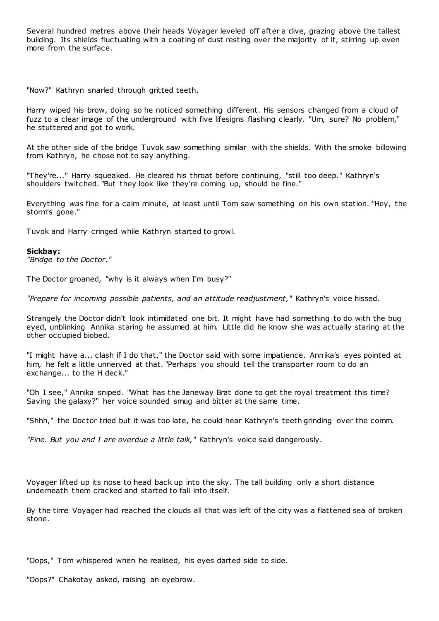Several hundred metres above their heads Voyager leveled off after a dive, grazing above the tallest building. Its shields fluctuating with a coating of dust resting over the majority of it, stirring up even more from the surface.

"Now?" Kathryn snarled through gritted teeth.

Harry wiped his brow, doing so he noticed something different. His sensors changed from a cloud of fuzz to a clear image of the underground with five lifesigns flashing clearly. "Um, sure? No problem," he stuttered and got to work.

At the other side of the bridge Tuvok saw something similar with the shields. With the smoke billowing from Kathryn, he chose not to say anything.

"They're..." Harry squeaked. He cleared his throat before continuing, "still too deep." Kathryn's shoulders twitched. "But they look like they're coming up, should be fine."

Everything *was* fine for a calm minute, at least until Tom saw something on his own station. "Hey, the storm's gone."

Tuvok and Harry cringed while Kathryn started to growl.

## **Sickbay:**

*"Bridge to the Doctor."*

The Doctor groaned, "why is it always when I'm busy?"

*"Prepare for incoming possible patients, and an attitude readjustment,"* Kathryn's voice hissed.

Strangely the Doctor didn't look intimidated one bit. It might have had something to do with the bug eyed, unblinking Annika staring he assumed at him. Little did he know she was actually staring at the other occupied biobed.

"I might have a... clash if I do that," the Doctor said with some impatience. Annika's eyes pointed at him, he felt a little unnerved at that. "Perhaps you should tell the transporter room to do an exchange... to the H deck."

"Oh I see," Annika sniped. "What has the Janeway Brat done to get the royal treatment this time? Saving the galaxy?" her voice sounded smug and bitter at the same time.

"Shhh," the Doctor tried but it was too late, he could hear Kathryn's teeth grinding over the comm.

*"Fine. But you and I are overdue a little talk,"* Kathryn's voice said dangerously.

Voyager lifted up its nose to head back up into the sky. The tall building only a short distance underneath them cracked and started to fall into itself.

By the time Voyager had reached the clouds all that was left of the city was a flattened sea of broken stone.

"Oops," Tom whispered when he realised, his eyes darted side to side.

"Oops?" Chakotay asked, raising an eyebrow.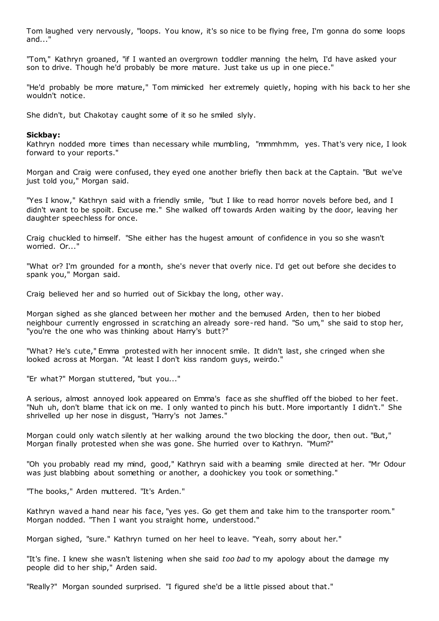Tom laughed very nervously, "loops. You know, it's so nice to be flying free, I'm gonna do some loops and..."

"Tom," Kathryn groaned, "if I wanted an overgrown toddler manning the helm, I'd have asked your son to drive. Though he'd probably be more mature. Just take us up in one piece."

"He'd probably be more mature," Tom mimicked her extremely quietly, hoping with his back to her she wouldn't notice.

She didn't, but Chakotay caught some of it so he smiled slyly.

## **Sickbay:**

Kathryn nodded more times than necessary while mumbling, "mmmhmm, yes. That's very nice, I look forward to your reports."

Morgan and Craig were confused, they eyed one another briefly then back at the Captain. "But we've just told you," Morgan said.

"Yes I know," Kathryn said with a friendly smile, "but I like to read horror novels before bed, and I didn't want to be spoilt. Excuse me." She walked off towards Arden waiting by the door, leaving her daughter speechless for once.

Craig chuckled to himself. "She either has the hugest amount of confidence in you so she wasn't worried. Or..."

"What or? I'm grounded for a month, she's never that overly nice. I'd get out before she decides to spank you," Morgan said.

Craig believed her and so hurried out of Sickbay the long, other way.

Morgan sighed as she glanced between her mother and the bemused Arden, then to her biobed neighbour currently engrossed in scratching an already sore-red hand. "So um," she said to stop her, "you're the one who was thinking about Harry's butt?"

"What? He's cute," Emma protested with her innocent smile. It didn't last, she cringed when she looked across at Morgan. "At least I don't kiss random guys, weirdo."

"Er what?" Morgan stuttered, "but you..."

A serious, almost annoyed look appeared on Emma's face as she shuffled off the biobed to her feet. "Nuh uh, don't blame that ick on me. I only wanted to pinch his butt. More importantly I didn't." She shrivelled up her nose in disgust, "Harry's not James."

Morgan could only watch silently at her walking around the two blocking the door, then out. "But," Morgan finally protested when she was gone. She hurried over to Kathryn. "Mum?"

"Oh you probably read my mind, good," Kathryn said with a beaming smile directed at her. "Mr Odour was just blabbing about something or another, a doohickey you took or something."

"The books," Arden muttered. "It's Arden."

Kathryn waved a hand near his face, "yes yes. Go get them and take him to the transporter room." Morgan nodded. "Then I want you straight home, understood."

Morgan sighed, "sure." Kathryn turned on her heel to leave. "Yeah, sorry about her."

"It's fine. I knew she wasn't listening when she said *too bad* to my apology about the damage my people did to her ship," Arden said.

"Really?" Morgan sounded surprised. "I figured she'd be a little pissed about that."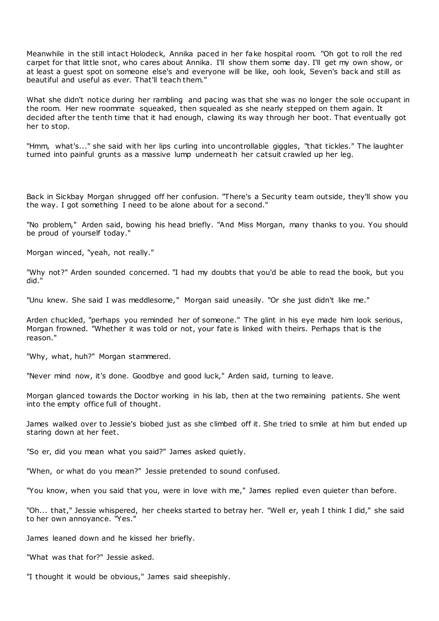Meanwhile in the still intact Holodeck, Annika paced in her fake hospital room. "Oh got to roll the red carpet for that little snot, who cares about Annika. I'll show them some day. I'll get my own show, or at least a guest spot on someone else's and everyone will be like, ooh look, Seven's back and still as beautiful and useful as ever. That'll teach them."

What she didn't notice during her rambling and pacing was that she was no longer the sole occupant in the room. Her new roommate squeaked, then squealed as she nearly stepped on them again. It decided after the tenth time that it had enough, clawing its way through her boot. That eventually got her to stop.

"Hmm, what's..." she said with her lips curling into uncontrollable giggles, "that tickles." The laughter turned into painful grunts as a massive lump underneath her catsuit crawled up her leg.

Back in Sickbay Morgan shrugged off her confusion. "There's a Security team outside, they'll show you the way. I got something I need to be alone about for a second."

"No problem," Arden said, bowing his head briefly. "And Miss Morgan, many thanks to you. You should be proud of yourself today."

Morgan winced, "yeah, not really."

"Why not?" Arden sounded concerned. "I had my doubts that you'd be able to read the book, but you did."

"Unu knew. She said I was meddlesome," Morgan said uneasily. "Or she just didn't like me."

Arden chuckled, "perhaps you reminded her of someone." The glint in his eye made him look serious, Morgan frowned. "Whether it was told or not, your fate is linked with theirs. Perhaps that is the reason."

"Why, what, huh?" Morgan stammered.

"Never mind now, it's done. Goodbye and good luck," Arden said, turning to leave.

Morgan glanced towards the Doctor working in his lab, then at the two remaining patients. She went into the empty office full of thought.

James walked over to Jessie's biobed just as she climbed off it. She tried to smile at him but ended up staring down at her feet.

"So er, did you mean what you said?" James asked quietly.

"When, or what do you mean?" Jessie pretended to sound confused.

"You know, when you said that you, were in love with me," James replied even quieter than before.

"Oh... that," Jessie whispered, her cheeks started to betray her. "Well er, yeah I think I did," she said to her own annoyance. "Yes."

James leaned down and he kissed her briefly.

"What was that for?" Jessie asked.

"I thought it would be obvious," James said sheepishly.